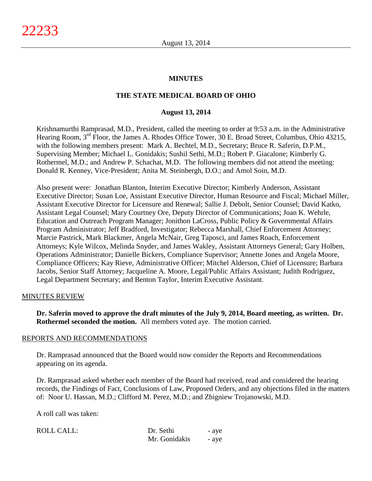# **MINUTES**

# **THE STATE MEDICAL BOARD OF OHIO**

### **August 13, 2014**

Krishnamurthi Ramprasad, M.D., President, called the meeting to order at 9:53 a.m. in the Administrative Hearing Room, 3<sup>rd</sup> Floor, the James A. Rhodes Office Tower, 30 E. Broad Street, Columbus, Ohio 43215, with the following members present: Mark A. Bechtel, M.D., Secretary; Bruce R. Saferin, D.P.M., Supervising Member; Michael L. Gonidakis; Sushil Sethi, M.D.; Robert P. Giacalone; Kimberly G. Rothermel, M.D.; and Andrew P. Schachat, M.D. The following members did not attend the meeting: Donald R. Kenney, Vice-President; Anita M. Steinbergh, D.O.; and Amol Soin, M.D.

Also present were: Jonathan Blanton, Interim Executive Director; Kimberly Anderson, Assistant Executive Director; Susan Loe, Assistant Executive Director, Human Resource and Fiscal; Michael Miller, Assistant Executive Director for Licensure and Renewal; Sallie J. Debolt, Senior Counsel; David Katko, Assistant Legal Counsel; Mary Courtney Ore, Deputy Director of Communications; Joan K. Wehrle, Education and Outreach Program Manager; Jonithon LaCross, Public Policy & Governmental Affairs Program Administrator; Jeff Bradford, Investigator; Rebecca Marshall, Chief Enforcement Attorney; Marcie Pastrick, Mark Blackmer, Angela McNair, Greg Taposci, and James Roach, Enforcement Attorneys; Kyle Wilcox, Melinda Snyder, and James Wakley, Assistant Attorneys General; Gary Holben, Operations Administrator; Danielle Bickers, Compliance Supervisor; Annette Jones and Angela Moore, Compliance Officers; Kay Rieve, Administrative Officer; Mitchel Alderson, Chief of Licensure; Barbara Jacobs, Senior Staff Attorney; Jacqueline A. Moore, Legal/Public Affairs Assistant; Judith Rodriguez, Legal Department Secretary; and Benton Taylor, Interim Executive Assistant.

#### MINUTES REVIEW

**Dr. Saferin moved to approve the draft minutes of the July 9, 2014, Board meeting, as written. Dr. Rothermel seconded the motion.** All members voted aye. The motion carried.

#### REPORTS AND RECOMMENDATIONS

Dr. Ramprasad announced that the Board would now consider the Reports and Recommendations appearing on its agenda.

Dr. Ramprasad asked whether each member of the Board had received, read and considered the hearing records, the Findings of Fact, Conclusions of Law, Proposed Orders, and any objections filed in the matters of: Noor U. Hassan, M.D.; Clifford M. Perez, M.D.; and Zbigniew Trojanowski, M.D.

A roll call was taken:

| <b>ROLL CALL:</b> | Dr. Sethi<br>- aye |       |
|-------------------|--------------------|-------|
|                   | Mr. Gonidakis      | - aye |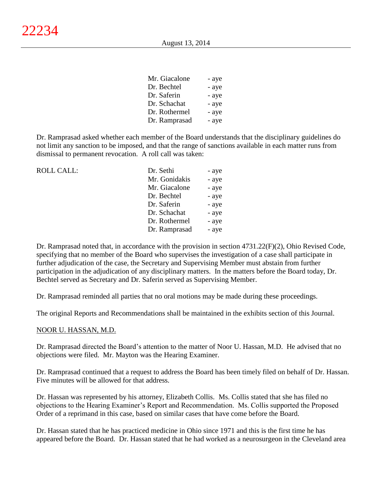| Mr. Giacalone | - aye |
|---------------|-------|
| Dr. Bechtel   | - aye |
| Dr. Saferin   | - aye |
| Dr. Schachat  | - aye |
| Dr. Rothermel | - aye |
| Dr. Ramprasad | - aye |

Dr. Ramprasad asked whether each member of the Board understands that the disciplinary guidelines do not limit any sanction to be imposed, and that the range of sanctions available in each matter runs from dismissal to permanent revocation. A roll call was taken:

| <b>ROLL CALL:</b> | Dr. Sethi     | - aye |
|-------------------|---------------|-------|
|                   | Mr. Gonidakis | - aye |
|                   | Mr. Giacalone | - aye |
|                   | Dr. Bechtel   | - aye |
|                   | Dr. Saferin   | - aye |
|                   | Dr. Schachat  | - aye |
|                   | Dr. Rothermel | - aye |
|                   | Dr. Ramprasad | - aye |

Dr. Ramprasad noted that, in accordance with the provision in section 4731.22(F)(2), Ohio Revised Code, specifying that no member of the Board who supervises the investigation of a case shall participate in further adjudication of the case, the Secretary and Supervising Member must abstain from further participation in the adjudication of any disciplinary matters. In the matters before the Board today, Dr. Bechtel served as Secretary and Dr. Saferin served as Supervising Member.

Dr. Ramprasad reminded all parties that no oral motions may be made during these proceedings.

The original Reports and Recommendations shall be maintained in the exhibits section of this Journal.

#### NOOR U. HASSAN, M.D.

Dr. Ramprasad directed the Board's attention to the matter of Noor U. Hassan, M.D. He advised that no objections were filed. Mr. Mayton was the Hearing Examiner.

Dr. Ramprasad continued that a request to address the Board has been timely filed on behalf of Dr. Hassan. Five minutes will be allowed for that address.

Dr. Hassan was represented by his attorney, Elizabeth Collis. Ms. Collis stated that she has filed no objections to the Hearing Examiner's Report and Recommendation. Ms. Collis supported the Proposed Order of a reprimand in this case, based on similar cases that have come before the Board.

Dr. Hassan stated that he has practiced medicine in Ohio since 1971 and this is the first time he has appeared before the Board. Dr. Hassan stated that he had worked as a neurosurgeon in the Cleveland area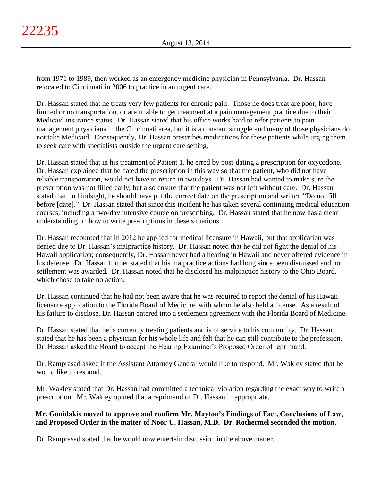from 1971 to 1989, then worked as an emergency medicine physician in Pennsylvania. Dr. Hassan relocated to Cincinnati in 2006 to practice in an urgent care.

Dr. Hassan stated that he treats very few patients for chronic pain. Those he does treat are poor, have limited or no transportation, or are unable to get treatment at a pain management practice due to their Medicaid insurance status. Dr. Hassan stated that his office works hard to refer patients to pain management physicians in the Cincinnati area, but it is a constant struggle and many of those physicians do not take Medicaid. Consequently, Dr. Hassan prescribes medications for these patients while urging them to seek care with specialists outside the urgent care setting.

Dr. Hassan stated that in his treatment of Patient 1, he erred by post-dating a prescription for oxycodone. Dr. Hassan explained that he dated the prescription in this way so that the patient, who did not have reliable transportation, would not have to return in two days. Dr. Hassan had wanted to make sure the prescription was not filled early, but also ensure that the patient was not left without care. Dr. Hassan stated that, in hindsight, he should have put the correct date on the prescription and written "Do not fill before [date]." Dr. Hassan stated that since this incident he has taken several continuing medical education courses, including a two-day intensive course on prescribing. Dr. Hassan stated that he now has a clear understanding on how to write prescriptions in these situations.

Dr. Hassan recounted that in 2012 he applied for medical licensure in Hawaii, but that application was denied due to Dr. Hassan's malpractice history. Dr. Hassan noted that he did not fight the denial of his Hawaii application; consequently, Dr. Hassan never had a hearing in Hawaii and never offered evidence in his defense. Dr. Hassan further stated that his malpractice actions had long since been dismissed and no settlement was awarded. Dr. Hassan noted that he disclosed his malpractice history to the Ohio Board, which chose to take no action.

Dr. Hassan continued that he had not been aware that he was required to report the denial of his Hawaii licensure application to the Florida Board of Medicine, with whom he also held a license. As a result of his failure to disclose, Dr. Hassan entered into a settlement agreement with the Florida Board of Medicine.

Dr. Hassan stated that he is currently treating patients and is of service to his community. Dr. Hassan stated that he has been a physician for his whole life and felt that he can still contribute to the profession. Dr. Hassan asked the Board to accept the Hearing Examiner's Proposed Order of reprimand.

Dr. Ramprasad asked if the Assistant Attorney General would like to respond. Mr. Wakley stated that he would like to respond.

Mr. Wakley stated that Dr. Hassan had committed a technical violation regarding the exact way to write a prescription. Mr. Wakley opined that a reprimand of Dr. Hassan in appropriate.

# **Mr. Gonidakis moved to approve and confirm Mr. Mayton's Findings of Fact, Conclusions of Law, and Proposed Order in the matter of Noor U. Hassan, M.D. Dr. Rothermel seconded the motion.**

Dr. Ramprasad stated that he would now entertain discussion in the above matter.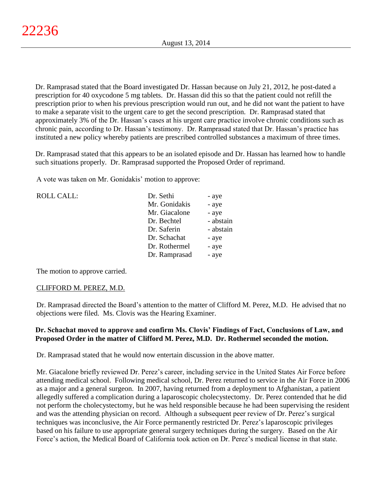Dr. Ramprasad stated that the Board investigated Dr. Hassan because on July 21, 2012, he post-dated a prescription for 40 oxycodone 5 mg tablets. Dr. Hassan did this so that the patient could not refill the prescription prior to when his previous prescription would run out, and he did not want the patient to have to make a separate visit to the urgent care to get the second prescription. Dr. Ramprasad stated that approximately 3% of the Dr. Hassan's cases at his urgent care practice involve chronic conditions such as chronic pain, according to Dr. Hassan's testimony. Dr. Ramprasad stated that Dr. Hassan's practice has instituted a new policy whereby patients are prescribed controlled substances a maximum of three times.

Dr. Ramprasad stated that this appears to be an isolated episode and Dr. Hassan has learned how to handle such situations properly. Dr. Ramprasad supported the Proposed Order of reprimand.

A vote was taken on Mr. Gonidakis' motion to approve:

| Dr. Sethi     | - aye     |
|---------------|-----------|
| Mr. Gonidakis | - aye     |
| Mr. Giacalone | - aye     |
| Dr. Bechtel   | - abstain |
| Dr. Saferin   | - abstain |
| Dr. Schachat  | - aye     |
| Dr. Rothermel | - aye     |
| Dr. Ramprasad | - aye     |
|               |           |

The motion to approve carried.

## CLIFFORD M. PEREZ, M.D.

Dr. Ramprasad directed the Board's attention to the matter of Clifford M. Perez, M.D. He advised that no objections were filed. Ms. Clovis was the Hearing Examiner.

# **Dr. Schachat moved to approve and confirm Ms. Clovis' Findings of Fact, Conclusions of Law, and Proposed Order in the matter of Clifford M. Perez, M.D. Dr. Rothermel seconded the motion.**

Dr. Ramprasad stated that he would now entertain discussion in the above matter.

Mr. Giacalone briefly reviewed Dr. Perez's career, including service in the United States Air Force before attending medical school. Following medical school, Dr. Perez returned to service in the Air Force in 2006 as a major and a general surgeon. In 2007, having returned from a deployment to Afghanistan, a patient allegedly suffered a complication during a laparoscopic cholecystectomy. Dr. Perez contended that he did not perform the cholecystectomy, but he was held responsible because he had been supervising the resident and was the attending physician on record. Although a subsequent peer review of Dr. Perez's surgical techniques was inconclusive, the Air Force permanently restricted Dr. Perez's laparoscopic privileges based on his failure to use appropriate general surgery techniques during the surgery. Based on the Air Force's action, the Medical Board of California took action on Dr. Perez's medical license in that state.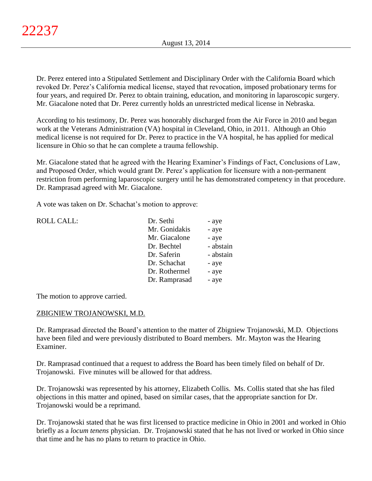Dr. Perez entered into a Stipulated Settlement and Disciplinary Order with the California Board which revoked Dr. Perez's California medical license, stayed that revocation, imposed probationary terms for four years, and required Dr. Perez to obtain training, education, and monitoring in laparoscopic surgery. Mr. Giacalone noted that Dr. Perez currently holds an unrestricted medical license in Nebraska.

According to his testimony, Dr. Perez was honorably discharged from the Air Force in 2010 and began work at the Veterans Administration (VA) hospital in Cleveland, Ohio, in 2011. Although an Ohio medical license is not required for Dr. Perez to practice in the VA hospital, he has applied for medical licensure in Ohio so that he can complete a trauma fellowship.

Mr. Giacalone stated that he agreed with the Hearing Examiner's Findings of Fact, Conclusions of Law, and Proposed Order, which would grant Dr. Perez's application for licensure with a non-permanent restriction from performing laparoscopic surgery until he has demonstrated competency in that procedure. Dr. Ramprasad agreed with Mr. Giacalone.

A vote was taken on Dr. Schachat's motion to approve:

| <b>ROLL CALL:</b> | Dr. Sethi     | - aye     |
|-------------------|---------------|-----------|
|                   | Mr. Gonidakis | - aye     |
|                   | Mr. Giacalone | - aye     |
|                   | Dr. Bechtel   | - abstain |
|                   | Dr. Saferin   | - abstain |
|                   | Dr. Schachat  | - aye     |
|                   | Dr. Rothermel | - aye     |
|                   | Dr. Ramprasad | - aye     |
|                   |               |           |

The motion to approve carried.

# ZBIGNIEW TROJANOWSKI, M.D.

Dr. Ramprasad directed the Board's attention to the matter of Zbigniew Trojanowski, M.D. Objections have been filed and were previously distributed to Board members. Mr. Mayton was the Hearing Examiner.

Dr. Ramprasad continued that a request to address the Board has been timely filed on behalf of Dr. Trojanowski. Five minutes will be allowed for that address.

Dr. Trojanowski was represented by his attorney, Elizabeth Collis. Ms. Collis stated that she has filed objections in this matter and opined, based on similar cases, that the appropriate sanction for Dr. Trojanowski would be a reprimand.

Dr. Trojanowski stated that he was first licensed to practice medicine in Ohio in 2001 and worked in Ohio briefly as a *locum tenens* physician. Dr. Trojanowski stated that he has not lived or worked in Ohio since that time and he has no plans to return to practice in Ohio.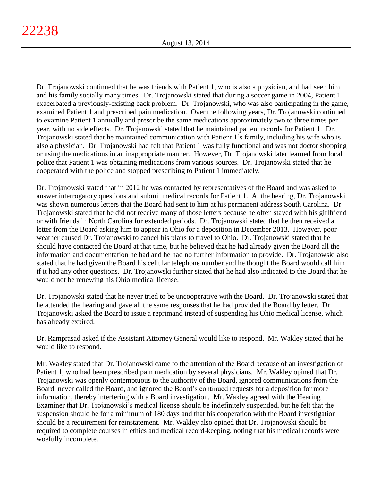Dr. Trojanowski continued that he was friends with Patient 1, who is also a physician, and had seen him and his family socially many times. Dr. Trojanowski stated that during a soccer game in 2004, Patient 1 exacerbated a previously-existing back problem. Dr. Trojanowski, who was also participating in the game, examined Patient 1 and prescribed pain medication. Over the following years, Dr. Trojanowski continued to examine Patient 1 annually and prescribe the same medications approximately two to three times per year, with no side effects. Dr. Trojanowski stated that he maintained patient records for Patient 1. Dr. Trojanowski stated that he maintained communication with Patient 1's family, including his wife who is also a physician. Dr. Trojanowski had felt that Patient 1 was fully functional and was not doctor shopping or using the medications in an inappropriate manner. However, Dr. Trojanowski later learned from local police that Patient 1 was obtaining medications from various sources. Dr. Trojanowski stated that he cooperated with the police and stopped prescribing to Patient 1 immediately.

Dr. Trojanowski stated that in 2012 he was contacted by representatives of the Board and was asked to answer interrogatory questions and submit medical records for Patient 1. At the hearing, Dr. Trojanowski was shown numerous letters that the Board had sent to him at his permanent address South Carolina. Dr. Trojanowski stated that he did not receive many of those letters because he often stayed with his girlfriend or with friends in North Carolina for extended periods. Dr. Trojanowski stated that he then received a letter from the Board asking him to appear in Ohio for a deposition in December 2013. However, poor weather caused Dr. Trojanowski to cancel his plans to travel to Ohio. Dr. Trojanowski stated that he should have contacted the Board at that time, but he believed that he had already given the Board all the information and documentation he had and he had no further information to provide. Dr. Trojanowski also stated that he had given the Board his cellular telephone number and he thought the Board would call him if it had any other questions. Dr. Trojanowski further stated that he had also indicated to the Board that he would not be renewing his Ohio medical license.

Dr. Trojanowski stated that he never tried to be uncooperative with the Board. Dr. Trojanowski stated that he attended the hearing and gave all the same responses that he had provided the Board by letter. Dr. Trojanowski asked the Board to issue a reprimand instead of suspending his Ohio medical license, which has already expired.

Dr. Ramprasad asked if the Assistant Attorney General would like to respond. Mr. Wakley stated that he would like to respond.

Mr. Wakley stated that Dr. Trojanowski came to the attention of the Board because of an investigation of Patient 1, who had been prescribed pain medication by several physicians. Mr. Wakley opined that Dr. Trojanowski was openly contemptuous to the authority of the Board, ignored communications from the Board, never called the Board, and ignored the Board's continued requests for a deposition for more information, thereby interfering with a Board investigation. Mr. Wakley agreed with the Hearing Examiner that Dr. Trojanowski's medical license should be indefinitely suspended, but he felt that the suspension should be for a minimum of 180 days and that his cooperation with the Board investigation should be a requirement for reinstatement. Mr. Wakley also opined that Dr. Trojanowski should be required to complete courses in ethics and medical record-keeping, noting that his medical records were woefully incomplete.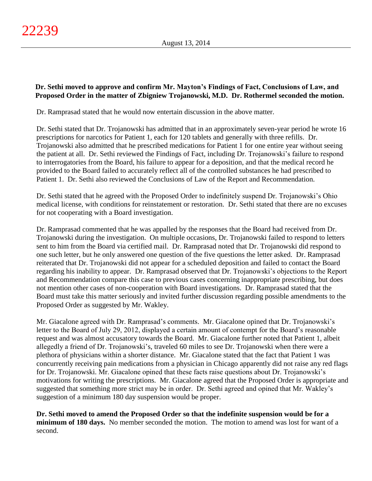# **Dr. Sethi moved to approve and confirm Mr. Mayton's Findings of Fact, Conclusions of Law, and Proposed Order in the matter of Zbigniew Trojanowski, M.D. Dr. Rothermel seconded the motion.**

Dr. Ramprasad stated that he would now entertain discussion in the above matter.

Dr. Sethi stated that Dr. Trojanowski has admitted that in an approximately seven-year period he wrote 16 prescriptions for narcotics for Patient 1, each for 120 tablets and generally with three refills. Dr. Trojanowski also admitted that he prescribed medications for Patient 1 for one entire year without seeing the patient at all. Dr. Sethi reviewed the Findings of Fact, including Dr. Trojanowski's failure to respond to interrogatories from the Board, his failure to appear for a deposition, and that the medical record he provided to the Board failed to accurately reflect all of the controlled substances he had prescribed to Patient 1. Dr. Sethi also reviewed the Conclusions of Law of the Report and Recommendation.

Dr. Sethi stated that he agreed with the Proposed Order to indefinitely suspend Dr. Trojanowski's Ohio medical license, with conditions for reinstatement or restoration. Dr. Sethi stated that there are no excuses for not cooperating with a Board investigation.

Dr. Ramprasad commented that he was appalled by the responses that the Board had received from Dr. Trojanowski during the investigation. On multiple occasions, Dr. Trojanowski failed to respond to letters sent to him from the Board via certified mail. Dr. Ramprasad noted that Dr. Trojanowski did respond to one such letter, but he only answered one question of the five questions the letter asked. Dr. Ramprasad reiterated that Dr. Trojanowski did not appear for a scheduled deposition and failed to contact the Board regarding his inability to appear. Dr. Ramprasad observed that Dr. Trojanowski's objections to the Report and Recommendation compare this case to previous cases concerning inappropriate prescribing, but does not mention other cases of non-cooperation with Board investigations. Dr. Ramprasad stated that the Board must take this matter seriously and invited further discussion regarding possible amendments to the Proposed Order as suggested by Mr. Wakley.

Mr. Giacalone agreed with Dr. Ramprasad's comments. Mr. Giacalone opined that Dr. Trojanowski's letter to the Board of July 29, 2012, displayed a certain amount of contempt for the Board's reasonable request and was almost accusatory towards the Board. Mr. Giacalone further noted that Patient 1, albeit allegedly a friend of Dr. Trojanowski's, traveled 60 miles to see Dr. Trojanowski when there were a plethora of physicians within a shorter distance. Mr. Giacalone stated that the fact that Patient 1 was concurrently receiving pain medications from a physician in Chicago apparently did not raise any red flags for Dr. Trojanowski. Mr. Giacalone opined that these facts raise questions about Dr. Trojanowski's motivations for writing the prescriptions. Mr. Giacalone agreed that the Proposed Order is appropriate and suggested that something more strict may be in order. Dr. Sethi agreed and opined that Mr. Wakley's suggestion of a minimum 180 day suspension would be proper.

**Dr. Sethi moved to amend the Proposed Order so that the indefinite suspension would be for a minimum of 180 days.** No member seconded the motion. The motion to amend was lost for want of a second.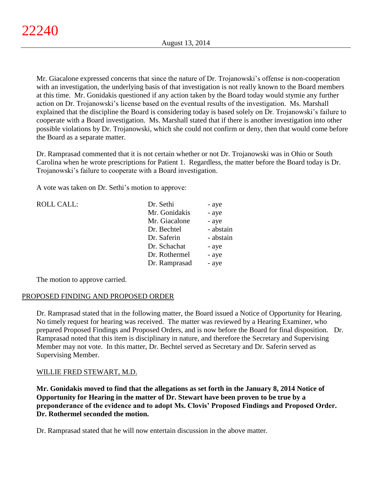Mr. Giacalone expressed concerns that since the nature of Dr. Trojanowski's offense is non-cooperation with an investigation, the underlying basis of that investigation is not really known to the Board members at this time. Mr. Gonidakis questioned if any action taken by the Board today would stymie any further action on Dr. Trojanowski's license based on the eventual results of the investigation. Ms. Marshall explained that the discipline the Board is considering today is based solely on Dr. Trojanowski's failure to cooperate with a Board investigation. Ms. Marshall stated that if there is another investigation into other possible violations by Dr. Trojanowski, which she could not confirm or deny, then that would come before the Board as a separate matter.

Dr. Ramprasad commented that it is not certain whether or not Dr. Trojanowski was in Ohio or South Carolina when he wrote prescriptions for Patient 1. Regardless, the matter before the Board today is Dr. Trojanowski's failure to cooperate with a Board investigation.

A vote was taken on Dr. Sethi's motion to approve:

| <b>ROLL CALL:</b> | Dr. Sethi     | - aye     |
|-------------------|---------------|-----------|
|                   | Mr. Gonidakis | - aye     |
|                   | Mr. Giacalone | - aye     |
|                   | Dr. Bechtel   | - abstain |
|                   | Dr. Saferin   | - abstain |
|                   | Dr. Schachat  | - aye     |
|                   | Dr. Rothermel | - aye     |
|                   | Dr. Ramprasad | - aye     |
|                   |               |           |

The motion to approve carried.

## PROPOSED FINDING AND PROPOSED ORDER

Dr. Ramprasad stated that in the following matter, the Board issued a Notice of Opportunity for Hearing. No timely request for hearing was received. The matter was reviewed by a Hearing Examiner, who prepared Proposed Findings and Proposed Orders, and is now before the Board for final disposition. Dr. Ramprasad noted that this item is disciplinary in nature, and therefore the Secretary and Supervising Member may not vote. In this matter, Dr. Bechtel served as Secretary and Dr. Saferin served as Supervising Member.

# WILLIE FRED STEWART, M.D.

**Mr. Gonidakis moved to find that the allegations as set forth in the January 8, 2014 Notice of Opportunity for Hearing in the matter of Dr. Stewart have been proven to be true by a preponderance of the evidence and to adopt Ms. Clovis' Proposed Findings and Proposed Order. Dr. Rothermel seconded the motion.**

Dr. Ramprasad stated that he will now entertain discussion in the above matter.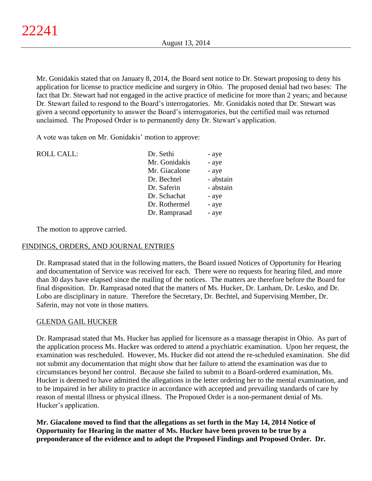Mr. Gonidakis stated that on January 8, 2014, the Board sent notice to Dr. Stewart proposing to deny his application for license to practice medicine and surgery in Ohio. The proposed denial had two bases: The fact that Dr. Stewart had not engaged in the active practice of medicine for more than 2 years; and because Dr. Stewart failed to respond to the Board's interrogatories. Mr. Gonidakis noted that Dr. Stewart was given a second opportunity to answer the Board's interrogatories, but the certified mail was returned unclaimed. The Proposed Order is to permanently deny Dr. Stewart's application.

A vote was taken on Mr. Gonidakis' motion to approve:

| <b>ROLL CALL:</b> | Dr. Sethi     | - aye     |
|-------------------|---------------|-----------|
|                   | Mr. Gonidakis | - aye     |
|                   | Mr. Giacalone | - aye     |
|                   | Dr. Bechtel   | - abstain |
|                   | Dr. Saferin   | - abstain |
|                   | Dr. Schachat  | - aye     |
|                   | Dr. Rothermel | - aye     |
|                   | Dr. Ramprasad | - aye     |
|                   |               |           |

The motion to approve carried.

## FINDINGS, ORDERS, AND JOURNAL ENTRIES

Dr. Ramprasad stated that in the following matters, the Board issued Notices of Opportunity for Hearing and documentation of Service was received for each. There were no requests for hearing filed, and more than 30 days have elapsed since the mailing of the notices. The matters are therefore before the Board for final disposition. Dr. Ramprasad noted that the matters of Ms. Hucker, Dr. Lanham, Dr. Lesko, and Dr. Lobo are disciplinary in nature. Therefore the Secretary, Dr. Bechtel, and Supervising Member, Dr. Saferin, may not vote in those matters.

## GLENDA GAIL HUCKER

Dr. Ramprasad stated that Ms. Hucker has applied for licensure as a massage therapist in Ohio. As part of the application process Ms. Hucker was ordered to attend a psychiatric examination. Upon her request, the examination was rescheduled. However, Ms. Hucker did not attend the re-scheduled examination. She did not submit any documentation that might show that her failure to attend the examination was due to circumstances beyond her control. Because she failed to submit to a Board-ordered examination, Ms. Hucker is deemed to have admitted the allegations in the letter ordering her to the mental examination, and to be impaired in her ability to practice in accordance with accepted and prevailing standards of care by reason of mental illness or physical illness. The Proposed Order is a non-permanent denial of Ms. Hucker's application.

**Mr. Giacalone moved to find that the allegations as set forth in the May 14, 2014 Notice of Opportunity for Hearing in the matter of Ms. Hucker have been proven to be true by a preponderance of the evidence and to adopt the Proposed Findings and Proposed Order. Dr.**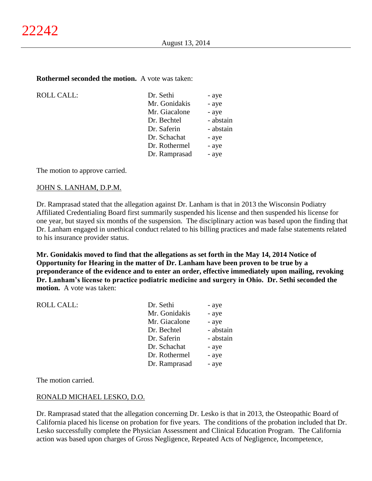#### **Rothermel seconded the motion.** A vote was taken:

 $ROLL CALL$ :

| Dr. Sethi     | - aye     |
|---------------|-----------|
| Mr. Gonidakis | - aye     |
| Mr. Giacalone | - aye     |
| Dr. Bechtel   | - abstain |
| Dr. Saferin   | - abstain |
| Dr. Schachat  | - aye     |
| Dr. Rothermel | - aye     |
| Dr. Ramprasad | - aye     |
|               |           |

The motion to approve carried.

#### JOHN S. LANHAM, D.P.M.

Dr. Ramprasad stated that the allegation against Dr. Lanham is that in 2013 the Wisconsin Podiatry Affiliated Credentialing Board first summarily suspended his license and then suspended his license for one year, but stayed six months of the suspension. The disciplinary action was based upon the finding that Dr. Lanham engaged in unethical conduct related to his billing practices and made false statements related to his insurance provider status.

**Mr. Gonidakis moved to find that the allegations as set forth in the May 14, 2014 Notice of Opportunity for Hearing in the matter of Dr. Lanham have been proven to be true by a preponderance of the evidence and to enter an order, effective immediately upon mailing, revoking Dr. Lanham's license to practice podiatric medicine and surgery in Ohio. Dr. Sethi seconded the motion.** A vote was taken:

| <b>ROLL CALL:</b> | Dr. Sethi     | - aye     |
|-------------------|---------------|-----------|
|                   | Mr. Gonidakis | - aye     |
|                   | Mr. Giacalone | - aye     |
|                   | Dr. Bechtel   | - abstain |
|                   | Dr. Saferin   | - abstain |
|                   | Dr. Schachat  | - aye     |
|                   | Dr. Rothermel | - aye     |
|                   | Dr. Ramprasad | - aye     |
|                   |               |           |

The motion carried.

#### RONALD MICHAEL LESKO, D.O.

Dr. Ramprasad stated that the allegation concerning Dr. Lesko is that in 2013, the Osteopathic Board of California placed his license on probation for five years. The conditions of the probation included that Dr. Lesko successfully complete the Physician Assessment and Clinical Education Program. The California action was based upon charges of Gross Negligence, Repeated Acts of Negligence, Incompetence,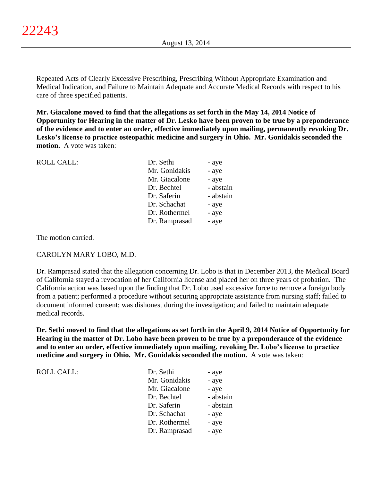Repeated Acts of Clearly Excessive Prescribing, Prescribing Without Appropriate Examination and Medical Indication, and Failure to Maintain Adequate and Accurate Medical Records with respect to his care of three specified patients.

**Mr. Giacalone moved to find that the allegations as set forth in the May 14, 2014 Notice of Opportunity for Hearing in the matter of Dr. Lesko have been proven to be true by a preponderance of the evidence and to enter an order, effective immediately upon mailing, permanently revoking Dr. Lesko's license to practice osteopathic medicine and surgery in Ohio. Mr. Gonidakis seconded the motion.** A vote was taken:

| <b>ROLL CALL:</b> | Dr. Sethi     | - aye     |
|-------------------|---------------|-----------|
|                   | Mr. Gonidakis | - aye     |
|                   | Mr. Giacalone | - aye     |
|                   | Dr. Bechtel   | - abstain |
|                   | Dr. Saferin   | - abstain |
|                   | Dr. Schachat  | - aye     |
|                   | Dr. Rothermel | - aye     |
|                   | Dr. Ramprasad | - aye     |
|                   |               |           |

The motion carried.

ROLL CALL:

## CAROLYN MARY LOBO, M.D.

Dr. Ramprasad stated that the allegation concerning Dr. Lobo is that in December 2013, the Medical Board of California stayed a revocation of her California license and placed her on three years of probation. The California action was based upon the finding that Dr. Lobo used excessive force to remove a foreign body from a patient; performed a procedure without securing appropriate assistance from nursing staff; failed to document informed consent; was dishonest during the investigation; and failed to maintain adequate medical records.

**Dr. Sethi moved to find that the allegations as set forth in the April 9, 2014 Notice of Opportunity for Hearing in the matter of Dr. Lobo have been proven to be true by a preponderance of the evidence and to enter an order, effective immediately upon mailing, revoking Dr. Lobo's license to practice medicine and surgery in Ohio. Mr. Gonidakis seconded the motion.** A vote was taken:

| Dr. Sethi     | - aye     |
|---------------|-----------|
| Mr. Gonidakis | - aye     |
| Mr. Giacalone | - aye     |
| Dr. Bechtel   | - abstain |
| Dr. Saferin   | - abstain |
| Dr. Schachat  | - aye     |
| Dr. Rothermel | - aye     |
| Dr. Ramprasad | - aye     |
|               |           |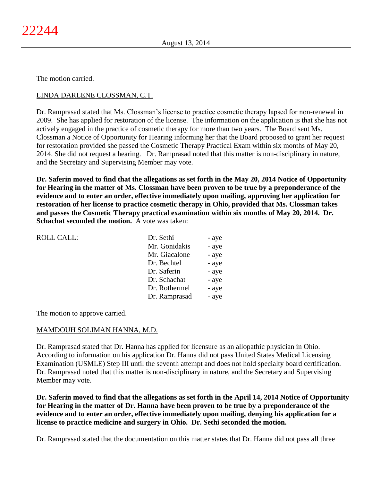The motion carried.

# LINDA DARLENE CLOSSMAN, C.T.

Dr. Ramprasad stated that Ms. Clossman's license to practice cosmetic therapy lapsed for non-renewal in 2009. She has applied for restoration of the license. The information on the application is that she has not actively engaged in the practice of cosmetic therapy for more than two years. The Board sent Ms. Clossman a Notice of Opportunity for Hearing informing her that the Board proposed to grant her request for restoration provided she passed the Cosmetic Therapy Practical Exam within six months of May 20, 2014. She did not request a hearing. Dr. Ramprasad noted that this matter is non-disciplinary in nature, and the Secretary and Supervising Member may vote.

**Dr. Saferin moved to find that the allegations as set forth in the May 20, 2014 Notice of Opportunity for Hearing in the matter of Ms. Clossman have been proven to be true by a preponderance of the evidence and to enter an order, effective immediately upon mailing, approving her application for restoration of her license to practice cosmetic therapy in Ohio, provided that Ms. Clossman takes and passes the Cosmetic Therapy practical examination within six months of May 20, 2014. Dr. Schachat seconded the motion.** A vote was taken:

| ROLL CALL: | Dr. Sethi     | - aye |
|------------|---------------|-------|
|            | Mr. Gonidakis | - aye |
|            | Mr. Giacalone | - aye |
|            | Dr. Bechtel   | - aye |
|            | Dr. Saferin   | - aye |
|            | Dr. Schachat  | - aye |
|            | Dr. Rothermel | - aye |
|            | Dr. Ramprasad | - aye |

The motion to approve carried.

## MAMDOUH SOLIMAN HANNA, M.D.

Dr. Ramprasad stated that Dr. Hanna has applied for licensure as an allopathic physician in Ohio. According to information on his application Dr. Hanna did not pass United States Medical Licensing Examination (USMLE) Step III until the seventh attempt and does not hold specialty board certification. Dr. Ramprasad noted that this matter is non-disciplinary in nature, and the Secretary and Supervising Member may vote.

**Dr. Saferin moved to find that the allegations as set forth in the April 14, 2014 Notice of Opportunity for Hearing in the matter of Dr. Hanna have been proven to be true by a preponderance of the evidence and to enter an order, effective immediately upon mailing, denying his application for a license to practice medicine and surgery in Ohio. Dr. Sethi seconded the motion.**

Dr. Ramprasad stated that the documentation on this matter states that Dr. Hanna did not pass all three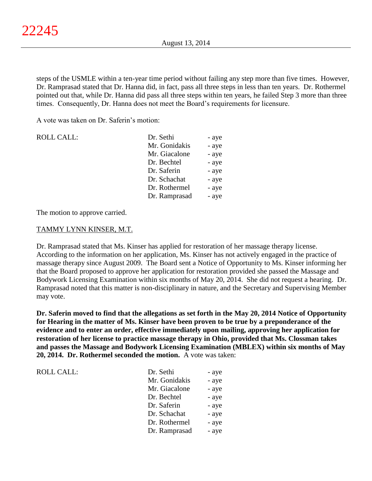steps of the USMLE within a ten-year time period without failing any step more than five times. However, Dr. Ramprasad stated that Dr. Hanna did, in fact, pass all three steps in less than ten years. Dr. Rothermel pointed out that, while Dr. Hanna did pass all three steps within ten years, he failed Step 3 more than three times. Consequently, Dr. Hanna does not meet the Board's requirements for licensure.

A vote was taken on Dr. Saferin's motion:

| <b>ROLL CALL:</b> | Dr. Sethi     | - aye |
|-------------------|---------------|-------|
|                   | Mr. Gonidakis | - aye |
|                   | Mr. Giacalone | - aye |
|                   | Dr. Bechtel   | - aye |
|                   | Dr. Saferin   | - aye |
|                   | Dr. Schachat  | - aye |
|                   | Dr. Rothermel | - aye |
|                   | Dr. Ramprasad | - aye |

The motion to approve carried.

### TAMMY LYNN KINSER, M.T.

Dr. Ramprasad stated that Ms. Kinser has applied for restoration of her massage therapy license. According to the information on her application, Ms. Kinser has not actively engaged in the practice of massage therapy since August 2009. The Board sent a Notice of Opportunity to Ms. Kinser informing her that the Board proposed to approve her application for restoration provided she passed the Massage and Bodywork Licensing Examination within six months of May 20, 2014. She did not request a hearing. Dr. Ramprasad noted that this matter is non-disciplinary in nature, and the Secretary and Supervising Member may vote.

**Dr. Saferin moved to find that the allegations as set forth in the May 20, 2014 Notice of Opportunity for Hearing in the matter of Ms. Kinser have been proven to be true by a preponderance of the evidence and to enter an order, effective immediately upon mailing, approving her application for restoration of her license to practice massage therapy in Ohio, provided that Ms. Clossman takes and passes the Massage and Bodywork Licensing Examination (MBLEX) within six months of May 20, 2014. Dr. Rothermel seconded the motion.** A vote was taken:

| Dr. Sethi     | - aye |
|---------------|-------|
| Mr. Gonidakis | - aye |
| Mr. Giacalone | - aye |
| Dr. Bechtel   | - aye |
| Dr. Saferin   | - aye |
| Dr. Schachat  | - aye |
| Dr. Rothermel | - aye |
| Dr. Ramprasad | - aye |
|               |       |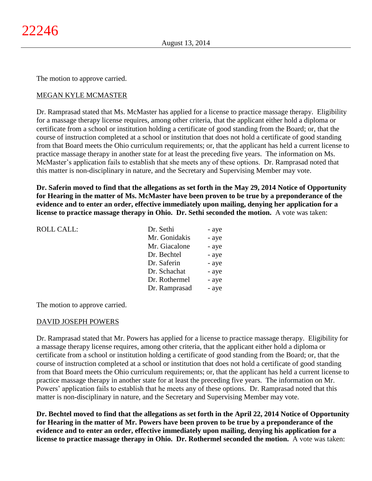The motion to approve carried.

# MEGAN KYLE MCMASTER

Dr. Ramprasad stated that Ms. McMaster has applied for a license to practice massage therapy. Eligibility for a massage therapy license requires, among other criteria, that the applicant either hold a diploma or certificate from a school or institution holding a certificate of good standing from the Board; or, that the course of instruction completed at a school or institution that does not hold a certificate of good standing from that Board meets the Ohio curriculum requirements; or, that the applicant has held a current license to practice massage therapy in another state for at least the preceding five years. The information on Ms. McMaster's application fails to establish that she meets any of these options. Dr. Ramprasad noted that this matter is non-disciplinary in nature, and the Secretary and Supervising Member may vote.

**Dr. Saferin moved to find that the allegations as set forth in the May 29, 2014 Notice of Opportunity for Hearing in the matter of Ms. McMaster have been proven to be true by a preponderance of the evidence and to enter an order, effective immediately upon mailing, denying her application for a license to practice massage therapy in Ohio. Dr. Sethi seconded the motion.** A vote was taken:

| Dr. Sethi     | - aye |
|---------------|-------|
| Mr. Gonidakis | - aye |
| Mr. Giacalone | - aye |
| Dr. Bechtel   | - aye |
| Dr. Saferin   | - aye |
| Dr. Schachat  | - aye |
| Dr. Rothermel | - aye |
| Dr. Ramprasad | - aye |
|               |       |

The motion to approve carried.

## DAVID JOSEPH POWERS

Dr. Ramprasad stated that Mr. Powers has applied for a license to practice massage therapy. Eligibility for a massage therapy license requires, among other criteria, that the applicant either hold a diploma or certificate from a school or institution holding a certificate of good standing from the Board; or, that the course of instruction completed at a school or institution that does not hold a certificate of good standing from that Board meets the Ohio curriculum requirements; or, that the applicant has held a current license to practice massage therapy in another state for at least the preceding five years. The information on Mr. Powers' application fails to establish that he meets any of these options. Dr. Ramprasad noted that this matter is non-disciplinary in nature, and the Secretary and Supervising Member may vote.

**Dr. Bechtel moved to find that the allegations as set forth in the April 22, 2014 Notice of Opportunity for Hearing in the matter of Mr. Powers have been proven to be true by a preponderance of the evidence and to enter an order, effective immediately upon mailing, denying his application for a license to practice massage therapy in Ohio. Dr. Rothermel seconded the motion.** A vote was taken: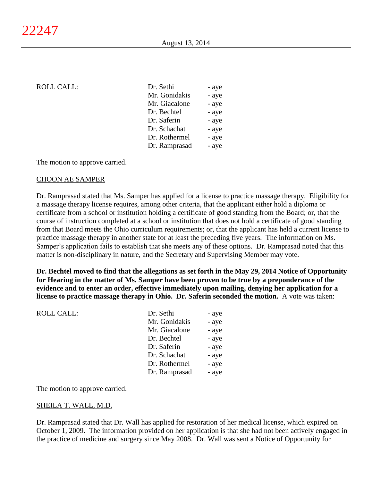| ROLL CALL: | Dr. Sethi     | - aye |
|------------|---------------|-------|
|            | Mr. Gonidakis | - aye |
|            | Mr. Giacalone | - aye |
|            | Dr. Bechtel   | - aye |
|            | Dr. Saferin   | - aye |
|            | Dr. Schachat  | - aye |
|            | Dr. Rothermel | - aye |
|            | Dr. Ramprasad | - aye |
|            |               |       |

The motion to approve carried.

### CHOON AE SAMPER

Dr. Ramprasad stated that Ms. Samper has applied for a license to practice massage therapy. Eligibility for a massage therapy license requires, among other criteria, that the applicant either hold a diploma or certificate from a school or institution holding a certificate of good standing from the Board; or, that the course of instruction completed at a school or institution that does not hold a certificate of good standing from that Board meets the Ohio curriculum requirements; or, that the applicant has held a current license to practice massage therapy in another state for at least the preceding five years. The information on Ms. Samper's application fails to establish that she meets any of these options. Dr. Ramprasad noted that this matter is non-disciplinary in nature, and the Secretary and Supervising Member may vote.

**Dr. Bechtel moved to find that the allegations as set forth in the May 29, 2014 Notice of Opportunity for Hearing in the matter of Ms. Samper have been proven to be true by a preponderance of the evidence and to enter an order, effective immediately upon mailing, denying her application for a license to practice massage therapy in Ohio. Dr. Saferin seconded the motion.** A vote was taken:

| Dr. Sethi     | - aye |
|---------------|-------|
| Mr. Gonidakis | - aye |
| Mr. Giacalone | - aye |
| Dr. Bechtel   | - aye |
| Dr. Saferin   | - aye |
| Dr. Schachat  | - aye |
| Dr. Rothermel | - aye |
| Dr. Ramprasad | - aye |
|               |       |

The motion to approve carried.

## SHEILA T. WALL, M.D.

Dr. Ramprasad stated that Dr. Wall has applied for restoration of her medical license, which expired on October 1, 2009. The information provided on her application is that she had not been actively engaged in the practice of medicine and surgery since May 2008. Dr. Wall was sent a Notice of Opportunity for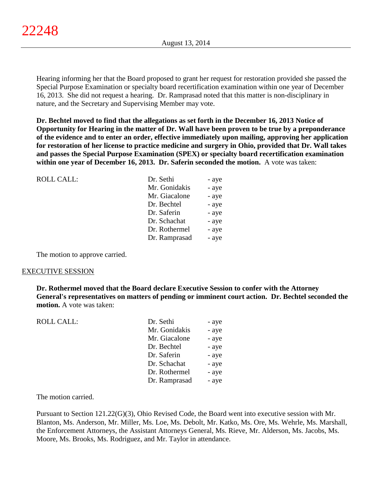Hearing informing her that the Board proposed to grant her request for restoration provided she passed the Special Purpose Examination or specialty board recertification examination within one year of December 16, 2013. She did not request a hearing. Dr. Ramprasad noted that this matter is non-disciplinary in nature, and the Secretary and Supervising Member may vote.

**Dr. Bechtel moved to find that the allegations as set forth in the December 16, 2013 Notice of Opportunity for Hearing in the matter of Dr. Wall have been proven to be true by a preponderance of the evidence and to enter an order, effective immediately upon mailing, approving her application for restoration of her license to practice medicine and surgery in Ohio, provided that Dr. Wall takes and passes the Special Purpose Examination (SPEX) or specialty board recertification examination within one year of December 16, 2013. Dr. Saferin seconded the motion.** A vote was taken:

| <b>ROLL CALL:</b> | Dr. Sethi     | - aye |
|-------------------|---------------|-------|
|                   | Mr. Gonidakis | - aye |
|                   | Mr. Giacalone | - aye |
|                   | Dr. Bechtel   | - aye |
|                   | Dr. Saferin   | - aye |
|                   | Dr. Schachat  | - aye |
|                   | Dr. Rothermel | - aye |
|                   | Dr. Ramprasad | - aye |
|                   |               |       |

The motion to approve carried.

#### EXECUTIVE SESSION

**Dr. Rothermel moved that the Board declare Executive Session to confer with the Attorney General's representatives on matters of pending or imminent court action. Dr. Bechtel seconded the motion.** A vote was taken:

| <b>ROLL CALL:</b> | Dr. Sethi     | - aye |
|-------------------|---------------|-------|
|                   | Mr. Gonidakis | - aye |
|                   | Mr. Giacalone | - aye |
|                   | Dr. Bechtel   | - aye |
|                   | Dr. Saferin   | - aye |
|                   | Dr. Schachat  | - aye |
|                   | Dr. Rothermel | - aye |
|                   | Dr. Ramprasad | - aye |
|                   |               |       |

The motion carried.

Pursuant to Section 121.22(G)(3), Ohio Revised Code, the Board went into executive session with Mr. Blanton, Ms. Anderson, Mr. Miller, Ms. Loe, Ms. Debolt, Mr. Katko, Ms. Ore, Ms. Wehrle, Ms. Marshall, the Enforcement Attorneys, the Assistant Attorneys General, Ms. Rieve, Mr. Alderson, Ms. Jacobs, Ms. Moore, Ms. Brooks, Ms. Rodriguez, and Mr. Taylor in attendance.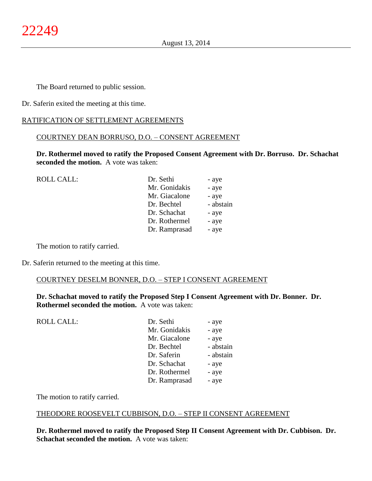The Board returned to public session.

Dr. Saferin exited the meeting at this time.

# RATIFICATION OF SETTLEMENT AGREEMENTS

### COURTNEY DEAN BORRUSO, D.O. – CONSENT AGREEMENT

**Dr. Rothermel moved to ratify the Proposed Consent Agreement with Dr. Borruso. Dr. Schachat seconded the motion.** A vote was taken:

| <b>ROLL CALL:</b> | Dr. Sethi     | - aye     |
|-------------------|---------------|-----------|
|                   | Mr. Gonidakis | - aye     |
|                   | Mr. Giacalone | - aye     |
|                   | Dr. Bechtel   | - abstain |
|                   | Dr. Schachat  | - aye     |
|                   | Dr. Rothermel | - aye     |
|                   | Dr. Ramprasad | - aye     |
|                   |               |           |

The motion to ratify carried.

Dr. Saferin returned to the meeting at this time.

#### COURTNEY DESELM BONNER, D.O. – STEP I CONSENT AGREEMENT

**Dr. Schachat moved to ratify the Proposed Step I Consent Agreement with Dr. Bonner. Dr. Rothermel seconded the motion.** A vote was taken:

| <b>ROLL CALL:</b> | Dr. Sethi     | - aye     |
|-------------------|---------------|-----------|
|                   | Mr. Gonidakis | - aye     |
|                   | Mr. Giacalone | - aye     |
|                   | Dr. Bechtel   | - abstain |
|                   | Dr. Saferin   | - abstain |
|                   | Dr. Schachat  | - aye     |
|                   | Dr. Rothermel | - aye     |
|                   | Dr. Ramprasad | - aye     |

The motion to ratify carried.

#### THEODORE ROOSEVELT CUBBISON, D.O. – STEP II CONSENT AGREEMENT

**Dr. Rothermel moved to ratify the Proposed Step II Consent Agreement with Dr. Cubbison. Dr. Schachat seconded the motion.** A vote was taken: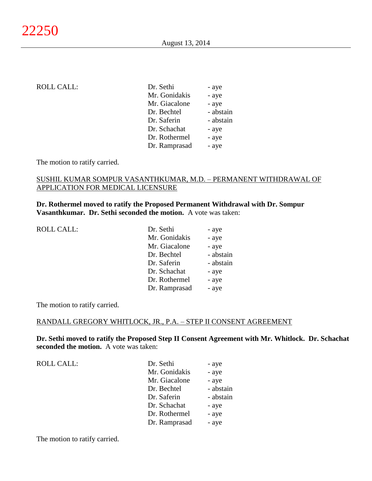## ROLL CALL:

| Dr. Sethi     | - aye     |
|---------------|-----------|
| Mr. Gonidakis | - aye     |
| Mr. Giacalone | - aye     |
| Dr. Bechtel   | - abstain |
| Dr. Saferin   | - abstain |
| Dr. Schachat  | - aye     |
| Dr. Rothermel | - aye     |
| Dr. Ramprasad | - aye     |
|               |           |

The motion to ratify carried.

### SUSHIL KUMAR SOMPUR VASANTHKUMAR, M.D. – PERMANENT WITHDRAWAL OF APPLICATION FOR MEDICAL LICENSURE

# **Dr. Rothermel moved to ratify the Proposed Permanent Withdrawal with Dr. Sompur Vasanthkumar. Dr. Sethi seconded the motion.** A vote was taken:

| <b>ROLL CALL:</b> |  |
|-------------------|--|
|-------------------|--|

| ROLL CALL: | Dr. Sethi     | - aye     |
|------------|---------------|-----------|
|            | Mr. Gonidakis | - aye     |
|            | Mr. Giacalone | - aye     |
|            | Dr. Bechtel   | - abstain |
|            | Dr. Saferin   | - abstain |
|            | Dr. Schachat  | - aye     |
|            | Dr. Rothermel | - aye     |
|            | Dr. Ramprasad | - aye     |
|            |               |           |

The motion to ratify carried.

#### RANDALL GREGORY WHITLOCK, JR., P.A. – STEP II CONSENT AGREEMENT

**Dr. Sethi moved to ratify the Proposed Step II Consent Agreement with Mr. Whitlock. Dr. Schachat seconded the motion.** A vote was taken:

ROLL CALL:

| Dr. Sethi     | - aye     |
|---------------|-----------|
| Mr. Gonidakis | - aye     |
| Mr. Giacalone | - aye     |
| Dr. Bechtel   | - abstain |
| Dr. Saferin   | - abstain |
| Dr. Schachat  | - aye     |
| Dr. Rothermel | - aye     |
| Dr. Ramprasad | - aye     |
|               |           |

The motion to ratify carried.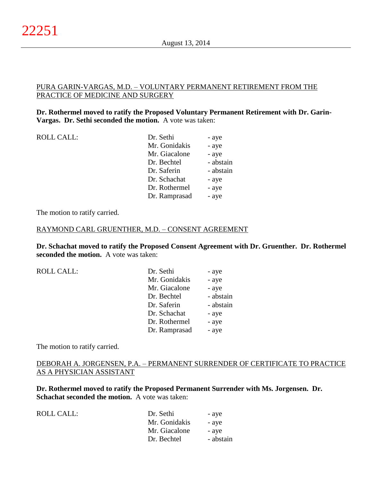# PURA GARIN-VARGAS, M.D. – VOLUNTARY PERMANENT RETIREMENT FROM THE PRACTICE OF MEDICINE AND SURGERY

## **Dr. Rothermel moved to ratify the Proposed Voluntary Permanent Retirement with Dr. Garin-Vargas. Dr. Sethi seconded the motion.** A vote was taken:

| <b>ROLL CALL:</b> |
|-------------------|
|-------------------|

| ROLL CALL: | Dr. Sethi     | - aye     |
|------------|---------------|-----------|
|            | Mr. Gonidakis | - aye     |
|            | Mr. Giacalone | - aye     |
|            | Dr. Bechtel   | - abstain |
|            | Dr. Saferin   | - abstain |
|            | Dr. Schachat  | - aye     |
|            | Dr. Rothermel | - aye     |
|            | Dr. Ramprasad | - aye     |
|            |               |           |

The motion to ratify carried.

### RAYMOND CARL GRUENTHER, M.D. – CONSENT AGREEMENT

**Dr. Schachat moved to ratify the Proposed Consent Agreement with Dr. Gruenther. Dr. Rothermel seconded the motion.** A vote was taken:

ROLL CALL:

| - aye     |
|-----------|
| - aye     |
| - aye     |
| - abstain |
| - abstain |
| - aye     |
| - aye     |
| - aye     |
|           |

The motion to ratify carried.

# DEBORAH A. JORGENSEN, P.A. – PERMANENT SURRENDER OF CERTIFICATE TO PRACTICE AS A PHYSICIAN ASSISTANT

**Dr. Rothermel moved to ratify the Proposed Permanent Surrender with Ms. Jorgensen. Dr. Schachat seconded the motion.** A vote was taken:

| ROLL CALL: | Dr. Sethi     | - aye     |
|------------|---------------|-----------|
|            | Mr. Gonidakis | - aye     |
|            | Mr. Giacalone | - ave     |
|            | Dr. Bechtel   | - abstain |
|            |               |           |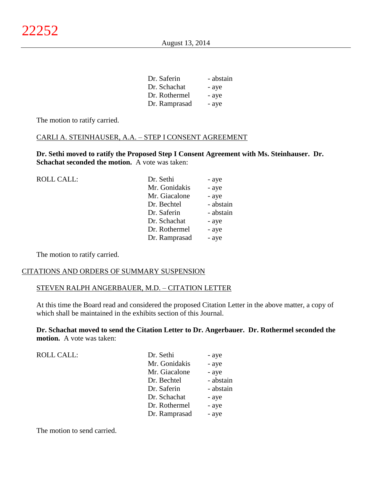| Dr. Saferin   | - abstain |
|---------------|-----------|
| Dr. Schachat  | - aye     |
| Dr. Rothermel | - aye     |
| Dr. Ramprasad | - aye     |

The motion to ratify carried.

# CARLI A. STEINHAUSER, A.A. – STEP I CONSENT AGREEMENT

**Dr. Sethi moved to ratify the Proposed Step I Consent Agreement with Ms. Steinhauser. Dr. Schachat seconded the motion.** A vote was taken:

| ROLL CALL: | Dr. Sethi     | - aye     |
|------------|---------------|-----------|
|            | Mr. Gonidakis | - aye     |
|            | Mr. Giacalone | - aye     |
|            | Dr. Bechtel   | - abstain |
|            | Dr. Saferin   | - abstain |
|            | Dr. Schachat  | - aye     |
|            | Dr. Rothermel | - aye     |
|            | Dr. Ramprasad | - aye     |
|            |               |           |

The motion to ratify carried.

#### CITATIONS AND ORDERS OF SUMMARY SUSPENSION

### STEVEN RALPH ANGERBAUER, M.D. – CITATION LETTER

At this time the Board read and considered the proposed Citation Letter in the above matter, a copy of which shall be maintained in the exhibits section of this Journal.

**Dr. Schachat moved to send the Citation Letter to Dr. Angerbauer. Dr. Rothermel seconded the motion.** A vote was taken:

| ROLL CALL: | Dr. Sethi     | - aye     |
|------------|---------------|-----------|
|            | Mr. Gonidakis | - aye     |
|            | Mr. Giacalone | - aye     |
|            | Dr. Bechtel   | - abstain |
|            | Dr. Saferin   | - abstain |
|            | Dr. Schachat  | - aye     |
|            | Dr. Rothermel | - aye     |
|            | Dr. Ramprasad | - aye     |

The motion to send carried.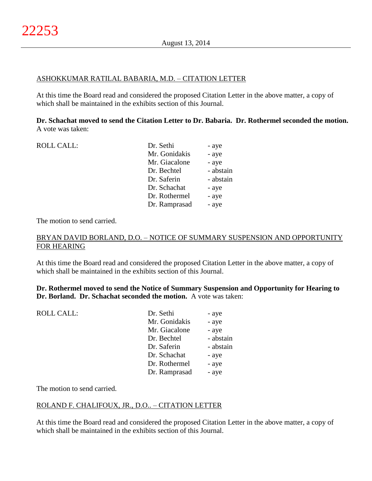# ASHOKKUMAR RATILAL BABARIA, M.D. – CITATION LETTER

At this time the Board read and considered the proposed Citation Letter in the above matter, a copy of which shall be maintained in the exhibits section of this Journal.

**Dr. Schachat moved to send the Citation Letter to Dr. Babaria. Dr. Rothermel seconded the motion.** A vote was taken:

| <b>ROLL CALL:</b> | Dr. Sethi     | - aye     |
|-------------------|---------------|-----------|
|                   | Mr. Gonidakis | - aye     |
|                   | Mr. Giacalone | - aye     |
|                   | Dr. Bechtel   | - abstain |
|                   | Dr. Saferin   | - abstain |
|                   | Dr. Schachat  | - aye     |
|                   | Dr. Rothermel | - aye     |
|                   | Dr. Ramprasad | - aye     |
|                   |               |           |

The motion to send carried.

# BRYAN DAVID BORLAND, D.O. – NOTICE OF SUMMARY SUSPENSION AND OPPORTUNITY FOR HEARING

At this time the Board read and considered the proposed Citation Letter in the above matter, a copy of which shall be maintained in the exhibits section of this Journal.

**Dr. Rothermel moved to send the Notice of Summary Suspension and Opportunity for Hearing to Dr. Borland. Dr. Schachat seconded the motion.** A vote was taken:

| <b>ROLL CALL:</b> | Dr. Sethi     | - aye     |
|-------------------|---------------|-----------|
|                   | Mr. Gonidakis | - aye     |
|                   | Mr. Giacalone | - aye     |
|                   | Dr. Bechtel   | - abstain |
|                   | Dr. Saferin   | - abstain |
|                   | Dr. Schachat  | - aye     |
|                   | Dr. Rothermel | - aye     |
|                   | Dr. Ramprasad | - aye     |
|                   |               |           |

The motion to send carried.

## ROLAND F. CHALIFOUX, JR., D.O.. – CITATION LETTER

At this time the Board read and considered the proposed Citation Letter in the above matter, a copy of which shall be maintained in the exhibits section of this Journal.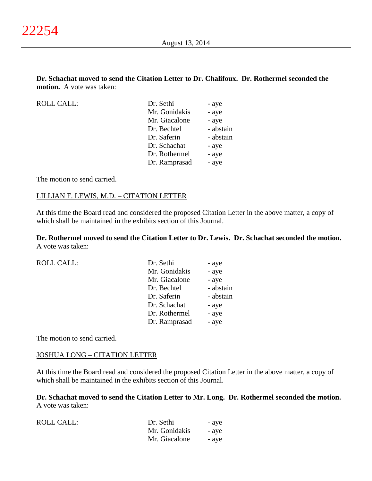# **Dr. Schachat moved to send the Citation Letter to Dr. Chalifoux. Dr. Rothermel seconded the motion.** A vote was taken:

ROLL CALL:

| Dr. Sethi     | - aye     |
|---------------|-----------|
| Mr. Gonidakis | - aye     |
| Mr. Giacalone | - aye     |
| Dr. Bechtel   | - abstain |
| Dr. Saferin   | - abstain |
| Dr. Schachat  | - aye     |
| Dr. Rothermel | - aye     |
| Dr. Ramprasad | - aye     |
|               |           |

The motion to send carried.

### LILLIAN F. LEWIS, M.D. – CITATION LETTER

At this time the Board read and considered the proposed Citation Letter in the above matter, a copy of which shall be maintained in the exhibits section of this Journal.

**Dr. Rothermel moved to send the Citation Letter to Dr. Lewis. Dr. Schachat seconded the motion.** A vote was taken:

| ROLL CALL: | Dr. Sethi     | - aye     |
|------------|---------------|-----------|
|            | Mr. Gonidakis | - aye     |
|            | Mr. Giacalone | - aye     |
|            | Dr. Bechtel   | - abstain |
|            | Dr. Saferin   | - abstain |
|            | Dr. Schachat  | - aye     |
|            | Dr. Rothermel | - aye     |
|            | Dr. Ramprasad | - aye     |
|            |               |           |

The motion to send carried.

#### JOSHUA LONG – CITATION LETTER

At this time the Board read and considered the proposed Citation Letter in the above matter, a copy of which shall be maintained in the exhibits section of this Journal.

**Dr. Schachat moved to send the Citation Letter to Mr. Long. Dr. Rothermel seconded the motion.** A vote was taken:

| ROLL CALL: | Dr. Sethi     | - ave |
|------------|---------------|-------|
|            | Mr. Gonidakis | - ave |
|            | Mr. Giacalone | - ave |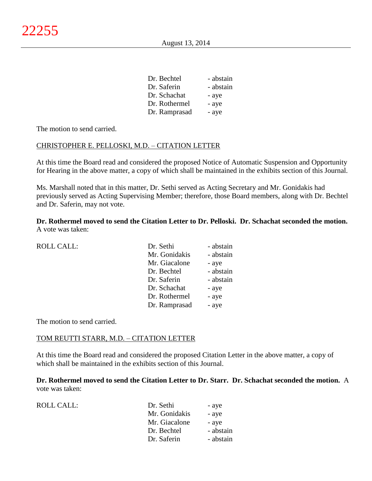| - abstain |
|-----------|
| - abstain |
| - aye     |
| - aye     |
| - aye     |
|           |

The motion to send carried.

### CHRISTOPHER E. PELLOSKI, M.D. – CITATION LETTER

At this time the Board read and considered the proposed Notice of Automatic Suspension and Opportunity for Hearing in the above matter, a copy of which shall be maintained in the exhibits section of this Journal.

Ms. Marshall noted that in this matter, Dr. Sethi served as Acting Secretary and Mr. Gonidakis had previously served as Acting Supervising Member; therefore, those Board members, along with Dr. Bechtel and Dr. Saferin, may not vote.

**Dr. Rothermel moved to send the Citation Letter to Dr. Pelloski. Dr. Schachat seconded the motion.** A vote was taken:

| <b>ROLL CALL:</b> | Dr. Sethi     | - abstain |
|-------------------|---------------|-----------|
|                   | Mr. Gonidakis | - abstain |
|                   | Mr. Giacalone | - aye     |
|                   | Dr. Bechtel   | - abstain |
|                   | Dr. Saferin   | - abstain |
|                   | Dr. Schachat  | - aye     |
|                   | Dr. Rothermel | - aye     |
|                   | Dr. Ramprasad | - aye     |
|                   |               |           |

The motion to send carried.

 $ROLL CALL$ :

#### TOM REUTTI STARR, M.D. – CITATION LETTER

At this time the Board read and considered the proposed Citation Letter in the above matter, a copy of which shall be maintained in the exhibits section of this Journal.

**Dr. Rothermel moved to send the Citation Letter to Dr. Starr. Dr. Schachat seconded the motion.** A vote was taken:

| Dr. Sethi     | - aye     |
|---------------|-----------|
| Mr. Gonidakis | - aye     |
| Mr. Giacalone | - aye     |
| Dr. Bechtel   | - abstain |
| Dr. Saferin   | - abstain |
|               |           |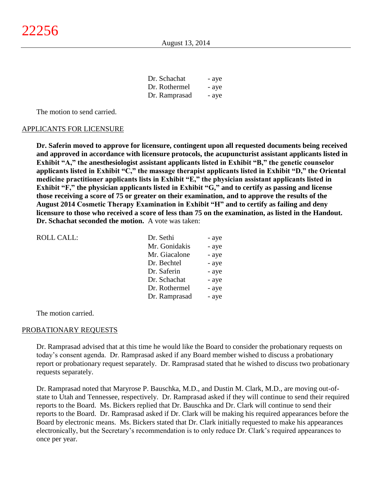| Dr. Schachat  | - aye |
|---------------|-------|
| Dr. Rothermel | - aye |
| Dr. Ramprasad | - aye |

The motion to send carried.

#### APPLICANTS FOR LICENSURE

**Dr. Saferin moved to approve for licensure, contingent upon all requested documents being received and approved in accordance with licensure protocols, the acupuncturist assistant applicants listed in Exhibit "A," the anesthesiologist assistant applicants listed in Exhibit "B," the genetic counselor applicants listed in Exhibit "C," the massage therapist applicants listed in Exhibit "D," the Oriental medicine practitioner applicants lists in Exhibit "E," the physician assistant applicants listed in Exhibit "F," the physician applicants listed in Exhibit "G," and to certify as passing and license those receiving a score of 75 or greater on their examination, and to approve the results of the August 2014 Cosmetic Therapy Examination in Exhibit "H" and to certify as failing and deny licensure to those who received a score of less than 75 on the examination, as listed in the Handout. Dr. Schachat seconded the motion.** A vote was taken:

| <b>ROLL CALL:</b> | Dr. Sethi     | - aye |
|-------------------|---------------|-------|
|                   | Mr. Gonidakis | - aye |
|                   | Mr. Giacalone | - aye |
|                   | Dr. Bechtel   | - aye |
|                   | Dr. Saferin   | - aye |
|                   | Dr. Schachat  | - aye |
|                   | Dr. Rothermel | - aye |
|                   | Dr. Ramprasad | - aye |

The motion carried.

#### PROBATIONARY REQUESTS

Dr. Ramprasad advised that at this time he would like the Board to consider the probationary requests on today's consent agenda. Dr. Ramprasad asked if any Board member wished to discuss a probationary report or probationary request separately. Dr. Ramprasad stated that he wished to discuss two probationary requests separately.

Dr. Ramprasad noted that Maryrose P. Bauschka, M.D., and Dustin M. Clark, M.D., are moving out-ofstate to Utah and Tennessee, respectively. Dr. Ramprasad asked if they will continue to send their required reports to the Board. Ms. Bickers replied that Dr. Bauschka and Dr. Clark will continue to send their reports to the Board. Dr. Ramprasad asked if Dr. Clark will be making his required appearances before the Board by electronic means. Ms. Bickers stated that Dr. Clark initially requested to make his appearances electronically, but the Secretary's recommendation is to only reduce Dr. Clark's required appearances to once per year.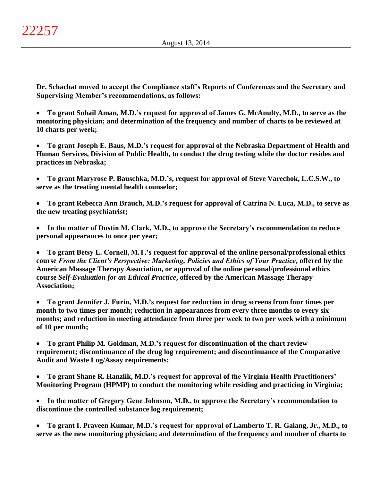**Dr. Schachat moved to accept the Compliance staff's Reports of Conferences and the Secretary and Supervising Member's recommendations, as follows:**

 **To grant Sohail Aman, M.D.'s request for approval of James G. McAnulty, M.D., to serve as the monitoring physician; and determination of the frequency and number of charts to be reviewed at 10 charts per week;**

 **To grant Joseph E. Baus, M.D.'s request for approval of the Nebraska Department of Health and Human Services, Division of Public Health, to conduct the drug testing while the doctor resides and practices in Nebraska;**

 **To grant Maryrose P. Bauschka, M.D.'s, request for approval of Steve Varechok, L.C.S.W., to serve as the treating mental health counselor;**

 **To grant Rebecca Ann Brauch, M.D.'s request for approval of Catrina N. Luca, M.D., to serve as the new treating psychiatrist;**

 **In the matter of Dustin M. Clark, M.D., to approve the Secretary's recommendation to reduce personal appearances to once per year;**

 **To grant Betsy L. Cornell, M.T.'s request for approval of the online personal/professional ethics course** *From the Client's Perspective: Marketing, Policies and Ethics of Your Practice***, offered by the American Massage Therapy Association, or approval of the online personal/professional ethics course** *Self-Evaluation for an Ethical Practice***, offered by the American Massage Therapy Association;**

 **To grant Jennifer J. Furin, M.D.'s request for reduction in drug screens from four times per month to two times per month; reduction in appearances from every three months to every six months; and reduction in meeting attendance from three per week to two per week with a minimum of 10 per month;**

 **To grant Philip M. Goldman, M.D.'s request for discontinuation of the chart review requirement; discontinuance of the drug log requirement; and discontinuance of the Comparative Audit and Waste Log/Assay requirements;**

 **To grant Shane R. Hanzlik, M.D.'s request for approval of the Virginia Health Practitioners' Monitoring Program (HPMP) to conduct the monitoring while residing and practicing in Virginia;**

 **In the matter of Gregory Gene Johnson, M.D., to approve the Secretary's recommendation to discontinue the controlled substance log requirement;**

 **To grant I. Praveen Kumar, M.D.'s request for approval of Lamberto T. R. Galang, Jr., M.D., to serve as the new monitoring physician; and determination of the frequency and number of charts to**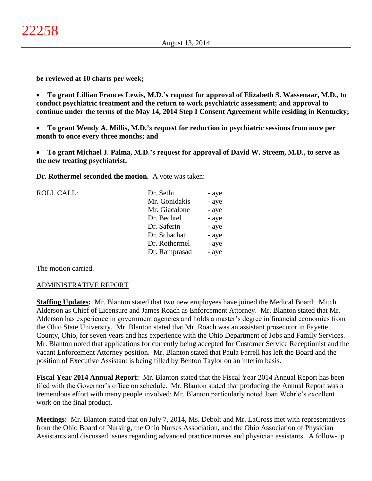**be reviewed at 10 charts per week;**

 **To grant Lillian Frances Lewis, M.D.'s request for approval of Elizabeth S. Wassenaar, M.D., to conduct psychiatric treatment and the return to work psychiatric assessment; and approval to continue under the terms of the May 14, 2014 Step I Consent Agreement while residing in Kentucky;**

 **To grant Wendy A. Millis, M.D.'s request for reduction in psychiatric sessions from once per month to once every three months; and**

 **To grant Michael J. Palma, M.D.'s request for approval of David W. Streem, M.D., to serve as the new treating psychiatrist.**

**Dr. Rothermel seconded the motion.** A vote was taken:

| <b>ROLL CALL:</b> | Dr. Sethi     | - aye |
|-------------------|---------------|-------|
|                   | Mr. Gonidakis | - aye |
|                   | Mr. Giacalone | - aye |
|                   | Dr. Bechtel   | - aye |
|                   | Dr. Saferin   | - aye |
|                   | Dr. Schachat  | - aye |
|                   | Dr. Rothermel | - aye |
|                   | Dr. Ramprasad | - aye |
|                   |               |       |

The motion carried.

## ADMINISTRATIVE REPORT

**Staffing Updates:** Mr. Blanton stated that two new employees have joined the Medical Board: Mitch Alderson as Chief of Licensure and James Roach as Enforcement Attorney. Mr. Blanton stated that Mr. Alderson has experience in government agencies and holds a master's degree in financial economics from the Ohio State University. Mr. Blanton stated that Mr. Roach was an assistant prosecutor in Fayette County, Ohio, for seven years and has experience with the Ohio Department of Jobs and Family Services. Mr. Blanton noted that applications for currently being accepted for Customer Service Receptionist and the vacant Enforcement Attorney position. Mr. Blanton stated that Paula Farrell has left the Board and the position of Executive Assistant is being filled by Benton Taylor on an interim basis.

**Fiscal Year 2014 Annual Report:** Mr. Blanton stated that the Fiscal Year 2014 Annual Report has been filed with the Governor's office on schedule. Mr. Blanton stated that producing the Annual Report was a tremendous effort with many people involved; Mr. Blanton particularly noted Joan Wehrle's excellent work on the final product.

**Meetings:** Mr. Blanton stated that on July 7, 2014, Ms. Debolt and Mr. LaCross met with representatives from the Ohio Board of Nursing, the Ohio Nurses Association, and the Ohio Association of Physician Assistants and discussed issues regarding advanced practice nurses and physician assistants. A follow-up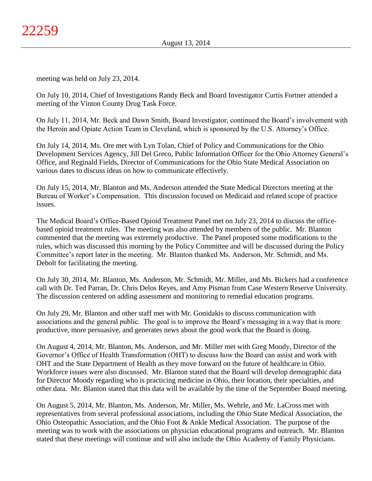meeting was held on July 23, 2014.

On July 10, 2014, Chief of Investigations Randy Beck and Board Investigator Curtis Fortner attended a meeting of the Vinton County Drug Task Force.

On July 11, 2014, Mr. Beck and Dawn Smith, Board Investigator, continued the Board's involvement with the Heroin and Opiate Action Team in Cleveland, which is sponsored by the U.S. Attorney's Office.

On July 14, 2014, Ms. Ore met with Lyn Tolan, Chief of Policy and Communications for the Ohio Development Services Agency, Jill Del Greco, Public Information Officer for the Ohio Attorney General's Office, and Reginald Fields, Director of Communications for the Ohio State Medical Association on various dates to discuss ideas on how to communicate effectively.

On July 15, 2014, Mr. Blanton and Ms. Anderson attended the State Medical Directors meeting at the Bureau of Worker's Compensation. This discussion focused on Medicaid and related scope of practice issues.

The Medical Board's Office-Based Opioid Treatment Panel met on July 23, 2014 to discuss the officebased opioid treatment rules. The meeting was also attended by members of the public. Mr. Blanton commented that the meeting was extremely productive. The Panel proposed some modifications to the rules, which was discussed this morning by the Policy Committee and will be discussed during the Policy Committee's report later in the meeting. Mr. Blanton thanked Ms. Anderson, Mr. Schmidt, and Ms. Debolt for facilitating the meeting.

On July 30, 2014, Mr. Blanton, Ms. Anderson, Mr. Schmidt, Mr. Miller, and Ms. Bickers had a conference call with Dr. Ted Parran, Dr. Chris Delos Reyes, and Amy Pisman from Case Western Reserve University. The discussion centered on adding assessment and monitoring to remedial education programs.

On July 29, Mr. Blanton and other staff met with Mr. Gonidakis to discuss communication with associations and the general public. The goal is to improve the Board's messaging in a way that is more productive, more persuasive, and generates news about the good work that the Board is doing.

On August 4, 2014, Mr. Blanton, Ms. Anderson, and Mr. Miller met with Greg Moody, Director of the Governor's Office of Health Transformation (OHT) to discuss how the Board can assist and work with OHT and the State Department of Health as they move forward on the future of healthcare in Ohio. Workforce issues were also discussed. Mr. Blanton stated that the Board will develop demographic data for Director Moody regarding who is practicing medicine in Ohio, their location, their specialties, and other data. Mr. Blanton stated that this data will be available by the time of the September Board meeting.

On August 5, 2014, Mr. Blanton, Ms. Anderson, Mr. Miller, Ms. Wehrle, and Mr. LaCross met with representatives from several professional associations, including the Ohio State Medical Association, the Ohio Osteopathic Association, and the Ohio Foot & Ankle Medical Association. The purpose of the meeting was to work with the associations on physician educational programs and outreach. Mr. Blanton stated that these meetings will continue and will also include the Ohio Academy of Family Physicians.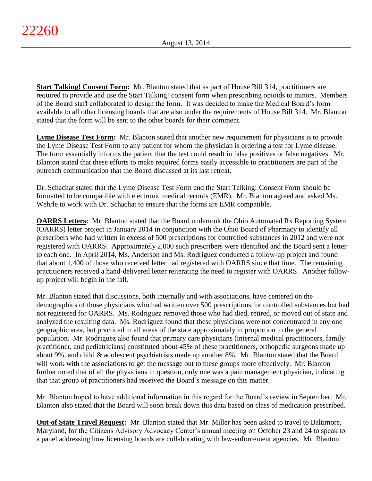**Start Talking! Consent Form:** Mr. Blanton stated that as part of House Bill 314, practitioners are required to provide and use the Start Talking! consent form when prescribing opioids to minors. Members of the Board staff collaborated to design the form. It was decided to make the Medical Board's form available to all other licensing boards that are also under the requirements of House Bill 314. Mr. Blanton stated that the form will be sent to the other boards for their comment.

**Lyme Disease Test Form:** Mr. Blanton stated that another new requirement for physicians is to provide the Lyme Disease Test Form to any patient for whom the physician is ordering a test for Lyme disease. The form essentially informs the patient that the test could result in false positives or false negatives. Mr. Blanton stated that these efforts to make required forms easily accessible to practitioners are part of the outreach communication that the Board discussed at its last retreat.

Dr. Schachat stated that the Lyme Disease Test Form and the Start Talking! Consent Form should be formatted to be compatible with electronic medical records (EMR). Mr. Blanton agreed and asked Ms. Wehrle to work with Dr. Schachat to ensure that the forms are EMR compatible.

**OARRS Letters:** Mr. Blanton stated that the Board undertook the Ohio Automated Rx Reporting System (OARRS) letter project in January 2014 in conjunction with the Ohio Board of Pharmacy to identify all prescribers who had written in excess of 500 prescriptions for controlled substances in 2012 and were not registered with OARRS. Approximately 2,000 such prescribers were identified and the Board sent a letter to each one. In April 2014, Ms. Anderson and Ms. Rodriguez conducted a follow-up project and found that about 1,400 of those who received letter had registered with OARRS since that time. The remaining practitioners received a hand-delivered letter reiterating the need to register with OARRS. Another followup project will begin in the fall.

Mr. Blanton stated that discussions, both internally and with associations, have centered on the demographics of those physicians who had written over 500 prescriptions for controlled substances but had not registered for OARRS. Ms. Rodriguez removed those who had died, retired, or moved out of state and analyzed the resulting data. Ms. Rodriguez found that these physicians were not concentrated in any one geographic area, but practiced in all areas of the state approximately in proportion to the general population. Mr. Rodriguez also found that primary care physicians (internal medical practitioners, family practitioner, and pediatricians) constituted about 45% of these practitioners, orthopedic surgeons made up about 9%, and child & adolescent psychiatrists made up another 8%. Mr. Blanton stated that the Board will work with the associations to get the message out to these groups more effectively. Mr. Blanton further noted that of all the physicians in question, only one was a pain management physician, indicating that that group of practitioners had received the Board's message on this matter.

Mr. Blanton hoped to have additional information in this regard for the Board's review in September. Mr. Blanton also stated that the Board will soon break down this data based on class of medication prescribed.

**Out-of State Travel Request:** Mr. Blanton stated that Mr. Miller has been asked to travel to Baltimore, Maryland, for the Citizens Advisory Advocacy Center's annual meeting on October 23 and 24 to speak to a panel addressing how licensing boards are collaborating with law-enforcement agencies. Mr. Blanton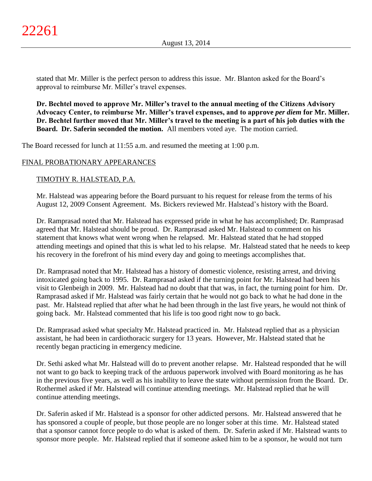stated that Mr. Miller is the perfect person to address this issue. Mr. Blanton asked for the Board's approval to reimburse Mr. Miller's travel expenses.

**Dr. Bechtel moved to approve Mr. Miller's travel to the annual meeting of the Citizens Advisory Advocacy Center, to reimburse Mr. Miller's travel expenses, and to approve** *per diem* **for Mr. Miller. Dr. Bechtel further moved that Mr. Miller's travel to the meeting is a part of his job duties with the Board. Dr. Saferin seconded the motion.** All members voted aye. The motion carried.

The Board recessed for lunch at 11:55 a.m. and resumed the meeting at 1:00 p.m.

# FINAL PROBATIONARY APPEARANCES

TIMOTHY R. HALSTEAD, P.A.

Mr. Halstead was appearing before the Board pursuant to his request for release from the terms of his August 12, 2009 Consent Agreement. Ms. Bickers reviewed Mr. Halstead's history with the Board.

Dr. Ramprasad noted that Mr. Halstead has expressed pride in what he has accomplished; Dr. Ramprasad agreed that Mr. Halstead should be proud. Dr. Ramprasad asked Mr. Halstead to comment on his statement that knows what went wrong when he relapsed. Mr. Halstead stated that he had stopped attending meetings and opined that this is what led to his relapse. Mr. Halstead stated that he needs to keep his recovery in the forefront of his mind every day and going to meetings accomplishes that.

Dr. Ramprasad noted that Mr. Halstead has a history of domestic violence, resisting arrest, and driving intoxicated going back to 1995. Dr. Ramprasad asked if the turning point for Mr. Halstead had been his visit to Glenbeigh in 2009. Mr. Halstead had no doubt that that was, in fact, the turning point for him. Dr. Ramprasad asked if Mr. Halstead was fairly certain that he would not go back to what he had done in the past. Mr. Halstead replied that after what he had been through in the last five years, he would not think of going back. Mr. Halstead commented that his life is too good right now to go back.

Dr. Ramprasad asked what specialty Mr. Halstead practiced in. Mr. Halstead replied that as a physician assistant, he had been in cardiothoracic surgery for 13 years. However, Mr. Halstead stated that he recently began practicing in emergency medicine.

Dr. Sethi asked what Mr. Halstead will do to prevent another relapse. Mr. Halstead responded that he will not want to go back to keeping track of the arduous paperwork involved with Board monitoring as he has in the previous five years, as well as his inability to leave the state without permission from the Board. Dr. Rothermel asked if Mr. Halstead will continue attending meetings. Mr. Halstead replied that he will continue attending meetings.

Dr. Saferin asked if Mr. Halstead is a sponsor for other addicted persons. Mr. Halstead answered that he has sponsored a couple of people, but those people are no longer sober at this time. Mr. Halstead stated that a sponsor cannot force people to do what is asked of them. Dr. Saferin asked if Mr. Halstead wants to sponsor more people. Mr. Halstead replied that if someone asked him to be a sponsor, he would not turn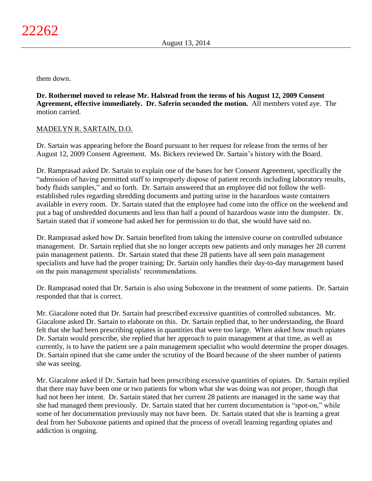them down.

**Dr. Rothermel moved to release Mr. Halstead from the terms of his August 12, 2009 Consent Agreement, effective immediately. Dr. Saferin seconded the motion.** All members voted aye. The motion carried.

# MADELYN R. SARTAIN, D.O.

Dr. Sartain was appearing before the Board pursuant to her request for release from the terms of her August 12, 2009 Consent Agreement. Ms. Bickers reviewed Dr. Sartain's history with the Board.

Dr. Ramprasad asked Dr. Sartain to explain one of the bases for her Consent Agreement, specifically the "admission of having permitted staff to improperly dispose of patient records including laboratory results, body fluids samples," and so forth. Dr. Sartain answered that an employee did not follow the wellestablished rules regarding shredding documents and putting urine in the hazardous waste containers available in every room. Dr. Sartain stated that the employee had come into the office on the weekend and put a bag of unshredded documents and less than half a pound of hazardous waste into the dumpster. Dr. Sartain stated that if someone had asked her for permission to do that, she would have said no.

Dr. Ramprasad asked how Dr. Sartain benefited from taking the intensive course on controlled substance management. Dr. Sartain replied that she no longer accepts new patients and only manages her 28 current pain management patients. Dr. Sartain stated that these 28 patients have all seen pain management specialists and have had the proper training; Dr. Sartain only handles their day-to-day management based on the pain management specialists' recommendations.

Dr. Ramprasad noted that Dr. Sartain is also using Suboxone in the treatment of some patients. Dr. Sartain responded that that is correct.

Mr. Giacalone noted that Dr. Sartain had prescribed excessive quantities of controlled substances. Mr. Giacalone asked Dr. Sartain to elaborate on this. Dr. Sartain replied that, to her understanding, the Board felt that she had been prescribing opiates in quantities that were too large. When asked how much opiates Dr. Sartain would prescribe, she replied that her approach to pain management at that time, as well as currently, is to have the patient see a pain management specialist who would determine the proper dosages. Dr. Sartain opined that she came under the scrutiny of the Board because of the sheer number of patients she was seeing.

Mr. Giacalone asked if Dr. Sartain had been prescribing excessive quantities of opiates. Dr. Sartain replied that there may have been one or two patients for whom what she was doing was not proper, though that had not been her intent. Dr. Sartain stated that her current 28 patients are managed in the same way that she had managed them previously. Dr. Sartain stated that her current documentation is "spot-on," while some of her documentation previously may not have been. Dr. Sartain stated that she is learning a great deal from her Suboxone patients and opined that the process of overall learning regarding opiates and addiction is ongoing.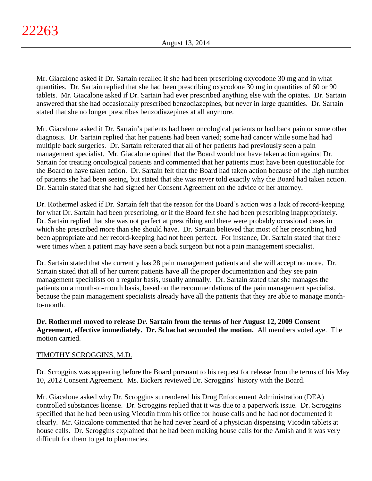Mr. Giacalone asked if Dr. Sartain recalled if she had been prescribing oxycodone 30 mg and in what quantities. Dr. Sartain replied that she had been prescribing oxycodone 30 mg in quantities of 60 or 90 tablets. Mr. Giacalone asked if Dr. Sartain had ever prescribed anything else with the opiates. Dr. Sartain answered that she had occasionally prescribed benzodiazepines, but never in large quantities. Dr. Sartain stated that she no longer prescribes benzodiazepines at all anymore.

Mr. Giacalone asked if Dr. Sartain's patients had been oncological patients or had back pain or some other diagnosis. Dr. Sartain replied that her patients had been varied; some had cancer while some had had multiple back surgeries. Dr. Sartain reiterated that all of her patients had previously seen a pain management specialist. Mr. Giacalone opined that the Board would not have taken action against Dr. Sartain for treating oncological patients and commented that her patients must have been questionable for the Board to have taken action. Dr. Sartain felt that the Board had taken action because of the high number of patients she had been seeing, but stated that she was never told exactly why the Board had taken action. Dr. Sartain stated that she had signed her Consent Agreement on the advice of her attorney.

Dr. Rothermel asked if Dr. Sartain felt that the reason for the Board's action was a lack of record-keeping for what Dr. Sartain had been prescribing, or if the Board felt she had been prescribing inappropriately. Dr. Sartain replied that she was not perfect at prescribing and there were probably occasional cases in which she prescribed more than she should have. Dr. Sartain believed that most of her prescribing had been appropriate and her record-keeping had not been perfect. For instance, Dr. Sartain stated that there were times when a patient may have seen a back surgeon but not a pain management specialist.

Dr. Sartain stated that she currently has 28 pain management patients and she will accept no more. Dr. Sartain stated that all of her current patients have all the proper documentation and they see pain management specialists on a regular basis, usually annually. Dr. Sartain stated that she manages the patients on a month-to-month basis, based on the recommendations of the pain management specialist, because the pain management specialists already have all the patients that they are able to manage monthto-month.

# **Dr. Rothermel moved to release Dr. Sartain from the terms of her August 12, 2009 Consent Agreement, effective immediately. Dr. Schachat seconded the motion.** All members voted aye. The motion carried.

# TIMOTHY SCROGGINS, M.D.

Dr. Scroggins was appearing before the Board pursuant to his request for release from the terms of his May 10, 2012 Consent Agreement. Ms. Bickers reviewed Dr. Scroggins' history with the Board.

Mr. Giacalone asked why Dr. Scroggins surrendered his Drug Enforcement Administration (DEA) controlled substances license. Dr. Scroggins replied that it was due to a paperwork issue. Dr. Scroggins specified that he had been using Vicodin from his office for house calls and he had not documented it clearly. Mr. Giacalone commented that he had never heard of a physician dispensing Vicodin tablets at house calls. Dr. Scroggins explained that he had been making house calls for the Amish and it was very difficult for them to get to pharmacies.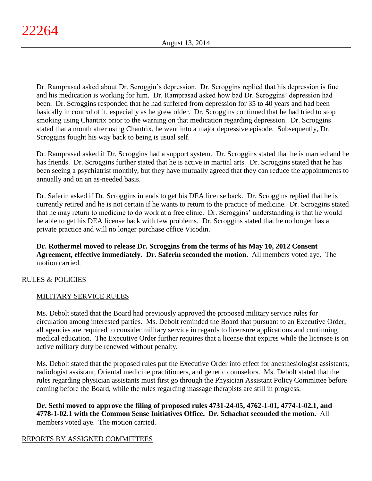Dr. Ramprasad asked about Dr. Scroggin's depression. Dr. Scroggins replied that his depression is fine and his medication is working for him. Dr. Ramprasad asked how bad Dr. Scroggins' depression had been. Dr. Scroggins responded that he had suffered from depression for 35 to 40 years and had been basically in control of it, especially as he grew older. Dr. Scroggins continued that he had tried to stop smoking using Chantrix prior to the warning on that medication regarding depression. Dr. Scroggins stated that a month after using Chantrix, he went into a major depressive episode. Subsequently, Dr. Scroggins fought his way back to being is usual self.

Dr. Ramprasad asked if Dr. Scroggins had a support system. Dr. Scroggins stated that he is married and he has friends. Dr. Scroggins further stated that he is active in martial arts. Dr. Scroggins stated that he has been seeing a psychiatrist monthly, but they have mutually agreed that they can reduce the appointments to annually and on an as-needed basis.

Dr. Saferin asked if Dr. Scroggins intends to get his DEA license back. Dr. Scroggins replied that he is currently retired and he is not certain if he wants to return to the practice of medicine. Dr. Scroggins stated that he may return to medicine to do work at a free clinic. Dr. Scroggins' understanding is that he would be able to get his DEA license back with few problems. Dr. Scroggins stated that he no longer has a private practice and will no longer purchase office Vicodin.

**Dr. Rothermel moved to release Dr. Scroggins from the terms of his May 10, 2012 Consent Agreement, effective immediately. Dr. Saferin seconded the motion.** All members voted aye. The motion carried.

# RULES & POLICIES

# MILITARY SERVICE RULES

Ms. Debolt stated that the Board had previously approved the proposed military service rules for circulation among interested parties. Ms. Debolt reminded the Board that pursuant to an Executive Order, all agencies are required to consider military service in regards to licensure applications and continuing medical education. The Executive Order further requires that a license that expires while the licensee is on active military duty be renewed without penalty.

Ms. Debolt stated that the proposed rules put the Executive Order into effect for anesthesiologist assistants, radiologist assistant, Oriental medicine practitioners, and genetic counselors. Ms. Debolt stated that the rules regarding physician assistants must first go through the Physician Assistant Policy Committee before coming before the Board, while the rules regarding massage therapists are still in progress.

**Dr. Sethi moved to approve the filing of proposed rules 4731-24-05, 4762-1-01, 4774-1-02.1, and 4778-1-02.1 with the Common Sense Initiatives Office. Dr. Schachat seconded the motion.** All members voted aye. The motion carried.

# REPORTS BY ASSIGNED COMMITTEES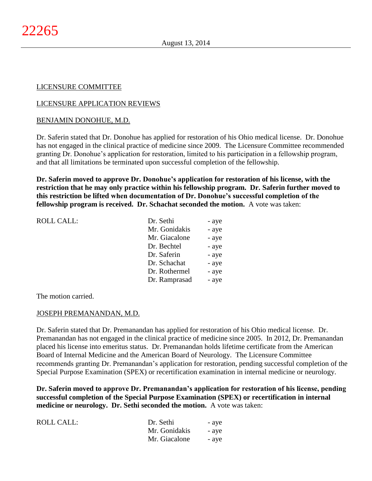# LICENSURE COMMITTEE

# LICENSURE APPLICATION REVIEWS

## BENJAMIN DONOHUE, M.D.

Dr. Saferin stated that Dr. Donohue has applied for restoration of his Ohio medical license. Dr. Donohue has not engaged in the clinical practice of medicine since 2009. The Licensure Committee recommended granting Dr. Donohue's application for restoration, limited to his participation in a fellowship program, and that all limitations be terminated upon successful completion of the fellowship.

**Dr. Saferin moved to approve Dr. Donohue's application for restoration of his license, with the restriction that he may only practice within his fellowship program. Dr. Saferin further moved to this restriction be lifted when documentation of Dr. Donohue's successful completion of the fellowship program is received. Dr. Schachat seconded the motion.** A vote was taken:

| <b>ROLL CALL:</b> | Dr. Sethi     | - aye |
|-------------------|---------------|-------|
|                   | Mr. Gonidakis | - aye |
|                   | Mr. Giacalone | - aye |
|                   | Dr. Bechtel   | - aye |
|                   | Dr. Saferin   | - aye |
|                   | Dr. Schachat  | - aye |
|                   | Dr. Rothermel | - aye |
|                   | Dr. Ramprasad | - aye |
|                   |               |       |

The motion carried.

## JOSEPH PREMANANDAN, M.D.

Dr. Saferin stated that Dr. Premanandan has applied for restoration of his Ohio medical license. Dr. Premanandan has not engaged in the clinical practice of medicine since 2005. In 2012, Dr. Premanandan placed his license into emeritus status. Dr. Premanandan holds lifetime certificate from the American Board of Internal Medicine and the American Board of Neurology. The Licensure Committee recommends granting Dr. Premanandan's application for restoration, pending successful completion of the Special Purpose Examination (SPEX) or recertification examination in internal medicine or neurology.

**Dr. Saferin moved to approve Dr. Premanandan's application for restoration of his license, pending successful completion of the Special Purpose Examination (SPEX) or recertification in internal medicine or neurology. Dr. Sethi seconded the motion.** A vote was taken:

| <b>ROLL CALL:</b> | Dr. Sethi     | - aye |
|-------------------|---------------|-------|
|                   | Mr. Gonidakis | - aye |
|                   | Mr. Giacalone | - aye |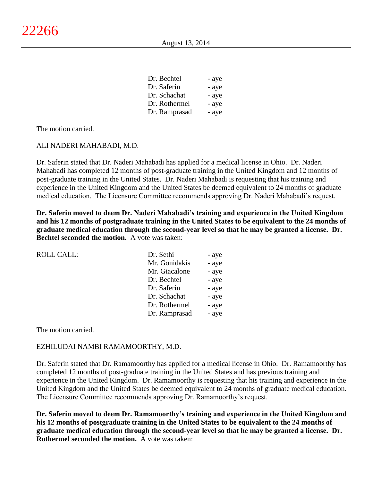| Dr. Bechtel   | - aye |
|---------------|-------|
| Dr. Saferin   | - aye |
| Dr. Schachat  | - aye |
| Dr. Rothermel | - aye |
| Dr. Ramprasad | - aye |

The motion carried.

### ALI NADERI MAHABADI, M.D.

Dr. Saferin stated that Dr. Naderi Mahabadi has applied for a medical license in Ohio. Dr. Naderi Mahabadi has completed 12 months of post-graduate training in the United Kingdom and 12 months of post-graduate training in the United States. Dr. Naderi Mahabadi is requesting that his training and experience in the United Kingdom and the United States be deemed equivalent to 24 months of graduate medical education. The Licensure Committee recommends approving Dr. Naderi Mahabadi's request.

**Dr. Saferin moved to deem Dr. Naderi Mahabadi's training and experience in the United Kingdom and his 12 months of postgraduate training in the United States to be equivalent to the 24 months of graduate medical education through the second-year level so that he may be granted a license. Dr. Bechtel seconded the motion.** A vote was taken:

| <b>ROLL CALL:</b> | Dr. Sethi     | - aye |
|-------------------|---------------|-------|
|                   | Mr. Gonidakis | - aye |
|                   | Mr. Giacalone | - aye |
|                   | Dr. Bechtel   | - aye |
|                   | Dr. Saferin   | - aye |
|                   | Dr. Schachat  | - aye |
|                   | Dr. Rothermel | - aye |
|                   | Dr. Ramprasad | - aye |
|                   |               |       |

The motion carried.

#### EZHILUDAI NAMBI RAMAMOORTHY, M.D.

Dr. Saferin stated that Dr. Ramamoorthy has applied for a medical license in Ohio. Dr. Ramamoorthy has completed 12 months of post-graduate training in the United States and has previous training and experience in the United Kingdom. Dr. Ramamoorthy is requesting that his training and experience in the United Kingdom and the United States be deemed equivalent to 24 months of graduate medical education. The Licensure Committee recommends approving Dr. Ramamoorthy's request.

**Dr. Saferin moved to deem Dr. Ramamoorthy's training and experience in the United Kingdom and his 12 months of postgraduate training in the United States to be equivalent to the 24 months of graduate medical education through the second-year level so that he may be granted a license. Dr. Rothermel seconded the motion.** A vote was taken: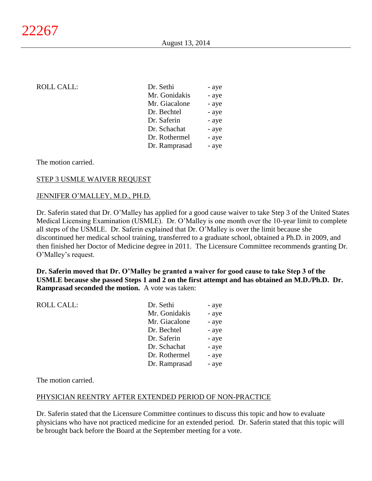| ROLL CALL: | Dr. Sethi     | - aye |
|------------|---------------|-------|
|            | Mr. Gonidakis | - aye |
|            | Mr. Giacalone | - aye |
|            | Dr. Bechtel   | - aye |
|            | Dr. Saferin   | - aye |
|            | Dr. Schachat  | - aye |
|            | Dr. Rothermel | - aye |
|            | Dr. Ramprasad | - aye |
|            |               |       |

The motion carried.

## STEP 3 USMLE WAIVER REQUEST

### JENNIFER O'MALLEY, M.D., PH.D.

Dr. Saferin stated that Dr. O'Malley has applied for a good cause waiver to take Step 3 of the United States Medical Licensing Examination (USMLE). Dr. O'Malley is one month over the 10-year limit to complete all steps of the USMLE. Dr. Saferin explained that Dr. O'Malley is over the limit because she discontinued her medical school training, transferred to a graduate school, obtained a Ph.D. in 2009, and then finished her Doctor of Medicine degree in 2011. The Licensure Committee recommends granting Dr. O'Malley's request.

**Dr. Saferin moved that Dr. O'Malley be granted a waiver for good cause to take Step 3 of the USMLE because she passed Steps 1 and 2 on the first attempt and has obtained an M.D./Ph.D. Dr. Ramprasad seconded the motion.** A vote was taken:

| - aye                  |
|------------------------|
| Mr. Gonidakis<br>- aye |
| Mr. Giacalone<br>- aye |
| - aye                  |
| - aye                  |
| Dr. Schachat<br>- aye  |
| Dr. Rothermel<br>- aye |
| Dr. Ramprasad<br>- aye |
|                        |

The motion carried.

#### PHYSICIAN REENTRY AFTER EXTENDED PERIOD OF NON-PRACTICE

Dr. Saferin stated that the Licensure Committee continues to discuss this topic and how to evaluate physicians who have not practiced medicine for an extended period. Dr. Saferin stated that this topic will be brought back before the Board at the September meeting for a vote.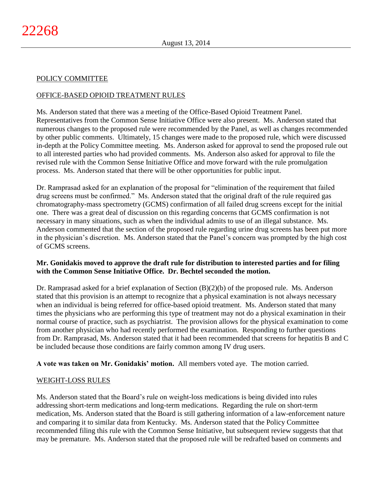# POLICY COMMITTEE

# OFFICE-BASED OPIOID TREATMENT RULES

Ms. Anderson stated that there was a meeting of the Office-Based Opioid Treatment Panel. Representatives from the Common Sense Initiative Office were also present. Ms. Anderson stated that numerous changes to the proposed rule were recommended by the Panel, as well as changes recommended by other public comments. Ultimately, 15 changes were made to the proposed rule, which were discussed in-depth at the Policy Committee meeting. Ms. Anderson asked for approval to send the proposed rule out to all interested parties who had provided comments. Ms. Anderson also asked for approval to file the revised rule with the Common Sense Initiative Office and move forward with the rule promulgation process. Ms. Anderson stated that there will be other opportunities for public input.

Dr. Ramprasad asked for an explanation of the proposal for "elimination of the requirement that failed drug screens must be confirmed." Ms. Anderson stated that the original draft of the rule required gas chromatography-mass spectrometry (GCMS) confirmation of all failed drug screens except for the initial one. There was a great deal of discussion on this regarding concerns that GCMS confirmation is not necessary in many situations, such as when the individual admits to use of an illegal substance. Ms. Anderson commented that the section of the proposed rule regarding urine drug screens has been put more in the physician's discretion. Ms. Anderson stated that the Panel's concern was prompted by the high cost of GCMS screens.

# **Mr. Gonidakis moved to approve the draft rule for distribution to interested parties and for filing with the Common Sense Initiative Office. Dr. Bechtel seconded the motion.**

Dr. Ramprasad asked for a brief explanation of Section (B)(2)(b) of the proposed rule. Ms. Anderson stated that this provision is an attempt to recognize that a physical examination is not always necessary when an individual is being referred for office-based opioid treatment. Ms. Anderson stated that many times the physicians who are performing this type of treatment may not do a physical examination in their normal course of practice, such as psychiatrist. The provision allows for the physical examination to come from another physician who had recently performed the examination. Responding to further questions from Dr. Ramprasad, Ms. Anderson stated that it had been recommended that screens for hepatitis B and C be included because those conditions are fairly common among IV drug users.

**A vote was taken on Mr. Gonidakis' motion.** All members voted aye. The motion carried.

## WEIGHT-LOSS RULES

Ms. Anderson stated that the Board's rule on weight-loss medications is being divided into rules addressing short-term medications and long-term medications. Regarding the rule on short-term medication, Ms. Anderson stated that the Board is still gathering information of a law-enforcement nature and comparing it to similar data from Kentucky. Ms. Anderson stated that the Policy Committee recommended filing this rule with the Common Sense Initiative, but subsequent review suggests that that may be premature. Ms. Anderson stated that the proposed rule will be redrafted based on comments and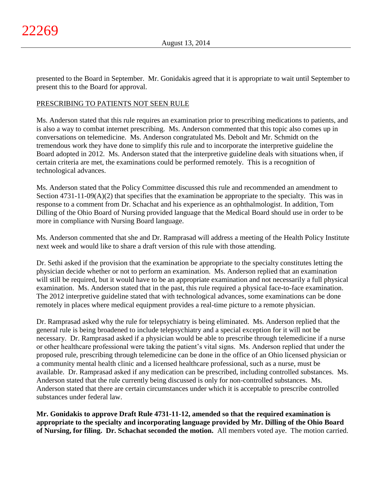presented to the Board in September. Mr. Gonidakis agreed that it is appropriate to wait until September to present this to the Board for approval.

# PRESCRIBING TO PATIENTS NOT SEEN RULE

Ms. Anderson stated that this rule requires an examination prior to prescribing medications to patients, and is also a way to combat internet prescribing. Ms. Anderson commented that this topic also comes up in conversations on telemedicine. Ms. Anderson congratulated Ms. Debolt and Mr. Schmidt on the tremendous work they have done to simplify this rule and to incorporate the interpretive guideline the Board adopted in 2012. Ms. Anderson stated that the interpretive guideline deals with situations when, if certain criteria are met, the examinations could be performed remotely. This is a recognition of technological advances.

Ms. Anderson stated that the Policy Committee discussed this rule and recommended an amendment to Section 4731-11-09(A)(2) that specifies that the examination be appropriate to the specialty. This was in response to a comment from Dr. Schachat and his experience as an ophthalmologist. In addition, Tom Dilling of the Ohio Board of Nursing provided language that the Medical Board should use in order to be more in compliance with Nursing Board language.

Ms. Anderson commented that she and Dr. Ramprasad will address a meeting of the Health Policy Institute next week and would like to share a draft version of this rule with those attending.

Dr. Sethi asked if the provision that the examination be appropriate to the specialty constitutes letting the physician decide whether or not to perform an examination. Ms. Anderson replied that an examination will still be required, but it would have to be an appropriate examination and not necessarily a full physical examination. Ms. Anderson stated that in the past, this rule required a physical face-to-face examination. The 2012 interpretive guideline stated that with technological advances, some examinations can be done remotely in places where medical equipment provides a real-time picture to a remote physician.

Dr. Ramprasad asked why the rule for telepsychiatry is being eliminated. Ms. Anderson replied that the general rule is being broadened to include telepsychiatry and a special exception for it will not be necessary. Dr. Ramprasad asked if a physician would be able to prescribe through telemedicine if a nurse or other healthcare professional were taking the patient's vital signs. Ms. Anderson replied that under the proposed rule, prescribing through telemedicine can be done in the office of an Ohio licensed physician or a community mental health clinic and a licensed healthcare professional, such as a nurse, must be available. Dr. Ramprasad asked if any medication can be prescribed, including controlled substances. Ms. Anderson stated that the rule currently being discussed is only for non-controlled substances. Ms. Anderson stated that there are certain circumstances under which it is acceptable to prescribe controlled substances under federal law.

**Mr. Gonidakis to approve Draft Rule 4731-11-12, amended so that the required examination is appropriate to the specialty and incorporating language provided by Mr. Dilling of the Ohio Board of Nursing, for filing. Dr. Schachat seconded the motion.** All members voted aye. The motion carried.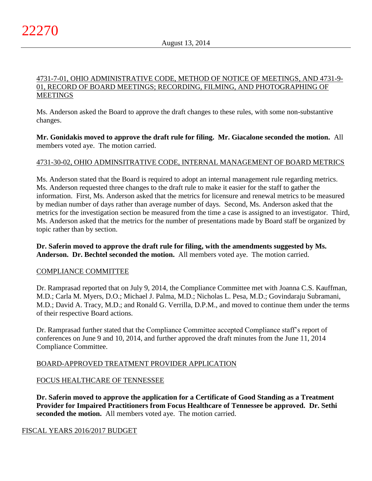## 4731-7-01, OHIO ADMINISTRATIVE CODE, METHOD OF NOTICE OF MEETINGS, AND 4731-9- 01, RECORD OF BOARD MEETINGS; RECORDING, FILMING, AND PHOTOGRAPHING OF **MEETINGS**

Ms. Anderson asked the Board to approve the draft changes to these rules, with some non-substantive changes.

**Mr. Gonidakis moved to approve the draft rule for filing. Mr. Giacalone seconded the motion.** All members voted aye. The motion carried.

# 4731-30-02, OHIO ADMINSITRATIVE CODE, INTERNAL MANAGEMENT OF BOARD METRICS

Ms. Anderson stated that the Board is required to adopt an internal management rule regarding metrics. Ms. Anderson requested three changes to the draft rule to make it easier for the staff to gather the information. First, Ms. Anderson asked that the metrics for licensure and renewal metrics to be measured by median number of days rather than average number of days. Second, Ms. Anderson asked that the metrics for the investigation section be measured from the time a case is assigned to an investigator. Third, Ms. Anderson asked that the metrics for the number of presentations made by Board staff be organized by topic rather than by section.

**Dr. Saferin moved to approve the draft rule for filing, with the amendments suggested by Ms. Anderson. Dr. Bechtel seconded the motion.** All members voted aye. The motion carried.

## COMPLIANCE COMMITTEE

Dr. Ramprasad reported that on July 9, 2014, the Compliance Committee met with Joanna C.S. Kauffman, M.D.; Carla M. Myers, D.O.; Michael J. Palma, M.D.; Nicholas L. Pesa, M.D.; Govindaraju Subramani, M.D.; David A. Tracy, M.D.; and Ronald G. Verrilla, D.P.M., and moved to continue them under the terms of their respective Board actions.

Dr. Ramprasad further stated that the Compliance Committee accepted Compliance staff's report of conferences on June 9 and 10, 2014, and further approved the draft minutes from the June 11, 2014 Compliance Committee.

# BOARD-APPROVED TREATMENT PROVIDER APPLICATION

# FOCUS HEALTHCARE OF TENNESSEE

**Dr. Saferin moved to approve the application for a Certificate of Good Standing as a Treatment Provider for Impaired Practitioners from Focus Healthcare of Tennessee be approved. Dr. Sethi seconded the motion.** All members voted aye. The motion carried.

## FISCAL YEARS 2016/2017 BUDGET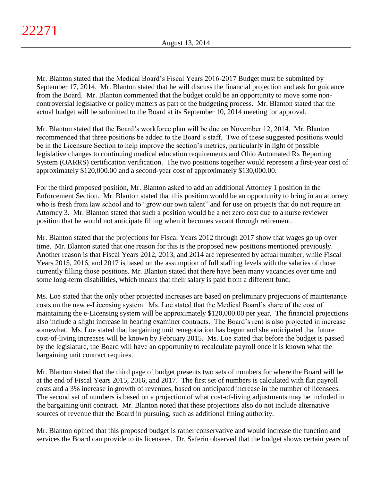Mr. Blanton stated that the Medical Board's Fiscal Years 2016-2017 Budget must be submitted by September 17, 2014. Mr. Blanton stated that he will discuss the financial projection and ask for guidance from the Board. Mr. Blanton commented that the budget could be an opportunity to move some noncontroversial legislative or policy matters as part of the budgeting process. Mr. Blanton stated that the actual budget will be submitted to the Board at its September 10, 2014 meeting for approval.

Mr. Blanton stated that the Board's workforce plan will be due on November 12, 2014. Mr. Blanton recommended that three positions be added to the Board's staff. Two of these suggested positions would be in the Licensure Section to help improve the section's metrics, particularly in light of possible legislative changes to continuing medical education requirements and Ohio Automated Rx Reporting System (OARRS) certification verification. The two positions together would represent a first-year cost of approximately \$120,000.00 and a second-year cost of approximately \$130,000.00.

For the third proposed position, Mr. Blanton asked to add an additional Attorney 1 position in the Enforcement Section. Mr. Blanton stated that this position would be an opportunity to bring in an attorney who is fresh from law school and to "grow our own talent" and for use on projects that do not require an Attorney 3. Mr. Blanton stated that such a position would be a net zero cost due to a nurse reviewer position that he would not anticipate filling when it becomes vacant through retirement.

Mr. Blanton stated that the projections for Fiscal Years 2012 through 2017 show that wages go up over time. Mr. Blanton stated that one reason for this is the proposed new positions mentioned previously. Another reason is that Fiscal Years 2012, 2013, and 2014 are represented by actual number, while Fiscal Years 2015, 2016, and 2017 is based on the assumption of full staffing levels with the salaries of those currently filling those positions. Mr. Blanton stated that there have been many vacancies over time and some long-term disabilities, which means that their salary is paid from a different fund.

Ms. Loe stated that the only other projected increases are based on preliminary projections of maintenance costs on the new e-Licensing system. Ms. Loe stated that the Medical Board's share of the cost of maintaining the e-Licensing system will be approximately \$120,000.00 per year. The financial projections also include a slight increase in hearing examiner contracts. The Board's rent is also projected in increase somewhat. Ms. Loe stated that bargaining unit renegotiation has begun and she anticipated that future cost-of-living increases will be known by February 2015. Ms. Loe stated that before the budget is passed by the legislature, the Board will have an opportunity to recalculate payroll once it is known what the bargaining unit contract requires.

Mr. Blanton stated that the third page of budget presents two sets of numbers for where the Board will be at the end of Fiscal Years 2015, 2016, and 2017. The first set of numbers is calculated with flat payroll costs and a 3% increase in growth of revenues, based on anticipated increase in the number of licensees. The second set of numbers is based on a projection of what cost-of-living adjustments may be included in the bargaining unit contract. Mr. Blanton noted that these projections also do not include alternative sources of revenue that the Board in pursuing, such as additional fining authority.

Mr. Blanton opined that this proposed budget is rather conservative and would increase the function and services the Board can provide to its licensees. Dr. Saferin observed that the budget shows certain years of